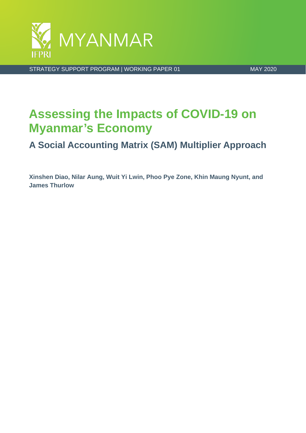

STRATEGY SUPPORT PROGRAM | WORKING PAPER 01 MAY 2020

# **Assessing the Impacts of COVID-19 on Myanmar's Economy**

**A Social Accounting Matrix (SAM) Multiplier Approach**

**Xinshen Diao, Nilar Aung, Wuit Yi Lwin, Phoo Pye Zone, Khin Maung Nyunt, and James Thurlow**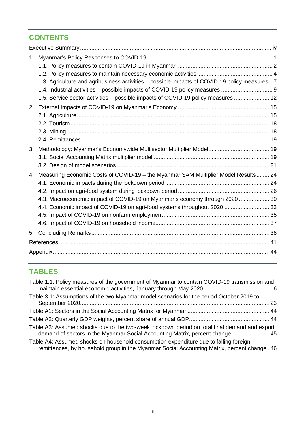## **CONTENTS**

| 1.          |                                                                                              |  |
|-------------|----------------------------------------------------------------------------------------------|--|
|             |                                                                                              |  |
|             |                                                                                              |  |
|             | 1.3. Agriculture and agribusiness activities - possible impacts of COVID-19 policy measures7 |  |
|             | 1.4. Industrial activities - possible impacts of COVID-19 policy measures  9                 |  |
|             | 1.5. Service sector activities – possible impacts of COVID-19 policy measures  12            |  |
| 2.          |                                                                                              |  |
|             |                                                                                              |  |
|             |                                                                                              |  |
|             |                                                                                              |  |
|             |                                                                                              |  |
| 3.          |                                                                                              |  |
|             |                                                                                              |  |
|             |                                                                                              |  |
| $4_{\cdot}$ | Measuring Economic Costs of COVID-19 - the Myanmar SAM Multiplier Model Results 24           |  |
|             |                                                                                              |  |
|             |                                                                                              |  |
|             | 4.3. Macroeconomic impact of COVID-19 on Myanmar's economy through 2020  30                  |  |
|             | 4.4. Economic impact of COVID-19 on agri-food systems throughout 2020  33                    |  |
|             |                                                                                              |  |
|             |                                                                                              |  |
| 5.          |                                                                                              |  |
|             |                                                                                              |  |
|             |                                                                                              |  |
|             |                                                                                              |  |

## **TABLES**

| Table 1.1: Policy measures of the government of Myanmar to contain COVID-19 transmission and                                                                                         |  |
|--------------------------------------------------------------------------------------------------------------------------------------------------------------------------------------|--|
| Table 3.1: Assumptions of the two Myanmar model scenarios for the period October 2019 to                                                                                             |  |
|                                                                                                                                                                                      |  |
|                                                                                                                                                                                      |  |
| Table A3: Assumed shocks due to the two-week lockdown period on total final demand and export<br>demand of sectors in the Myanmar Social Accounting Matrix, percent change  45       |  |
| Table A4: Assumed shocks on household consumption expenditure due to falling foreign<br>remittances, by household group in the Myanmar Social Accounting Matrix, percent change . 46 |  |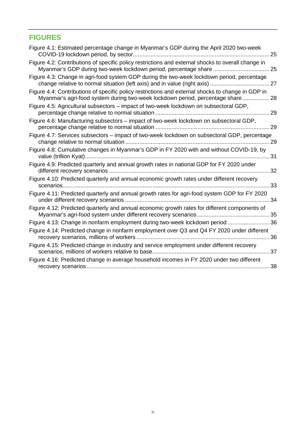## **FIGURES**

| Figure 4.1: Estimated percentage change in Myanmar's GDP during the April 2020 two-week                                                                                              | 25  |
|--------------------------------------------------------------------------------------------------------------------------------------------------------------------------------------|-----|
| Figure 4.2: Contributions of specific policy restrictions and external shocks to overall change in<br>Myanmar's GDP during two-week lockdown period, percentage share  25            |     |
| Figure 4.3: Change in agri-food system GDP during the two-week lockdown period, percentage<br>change relative to normal situation (left axis) and in value (right axis)              | 27  |
| Figure 4.4: Contributions of specific policy restrictions and external shocks to change in GDP in<br>Myanmar's agri-food system during two-week lockdown period, percentage share 28 |     |
| Figure 4.5: Agricultural subsectors – impact of two-week lockdown on subsectoral GDP,                                                                                                | 29  |
| Figure 4.6: Manufacturing subsectors - impact of two-week lockdown on subsectoral GDP,                                                                                               | 29  |
| Figure 4.7: Services subsectors - impact of two-week lockdown on subsectoral GDP, percentage                                                                                         | 29  |
| Figure 4.8: Cumulative changes in Myanmar's GDP in FY 2020 with and without COVID-19, by                                                                                             | -31 |
| Figure 4.9: Predicted quarterly and annual growth rates in national GDP for FY 2020 under                                                                                            | 32  |
| Figure 4.10: Predicted quarterly and annual economic growth rates under different recovery<br>scenarios                                                                              | 33  |
| Figure 4.11: Predicted quarterly and annual growth rates for agri-food system GDP for FY 2020                                                                                        | 34  |
| Figure 4.12: Predicted quarterly and annual economic growth rates for different components of                                                                                        |     |
| Figure 4.13: Change in nonfarm employment during two-week lockdown period  36                                                                                                        |     |
| Figure 4.14: Predicted change in nonfarm employment over Q3 and Q4 FY 2020 under different                                                                                           | 36  |
| Figure 4.15: Predicted change in industry and service employment under different recovery<br>scenarios, millions of workers relative to base                                         | 37  |
| Figure 4.16: Predicted change in average household incomes in FY 2020 under two different                                                                                            | 38  |
|                                                                                                                                                                                      |     |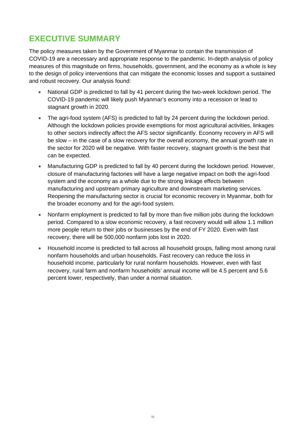## <span id="page-3-0"></span>**EXECUTIVE SUMMARY**

The policy measures taken by the Government of Myanmar to contain the transmission of COVID-19 are a necessary and appropriate response to the pandemic. In-depth analysis of policy measures of this magnitude on firms, households, government, and the economy as a whole is key to the design of policy interventions that can mitigate the economic losses and support a sustained and robust recovery. Our analysis found:

- National GDP is predicted to fall by 41 percent during the two-week lockdown period. The COVID-19 pandemic will likely push Myanmar's economy into a recession or lead to stagnant growth in 2020.
- The agri-food system (AFS) is predicted to fall by 24 percent during the lockdown period. Although the lockdown policies provide exemptions for most agricultural activities, linkages to other sectors indirectly affect the AFS sector significantly. Economy recovery in AFS will be slow – in the case of a slow recovery for the overall economy, the annual growth rate in the sector for 2020 will be negative. With faster recovery, stagnant growth is the best that can be expected.
- Manufacturing GDP is predicted to fall by 40 percent during the lockdown period. However, closure of manufacturing factories will have a large negative impact on both the agri-food system and the economy as a whole due to the strong linkage effects between manufacturing and upstream primary agriculture and downstream marketing services. Reopening the manufacturing sector is crucial for economic recovery in Myanmar, both for the broader economy and for the agri-food system.
- Nonfarm employment is predicted to fall by more than five million jobs during the lockdown period. Compared to a slow economic recovery, a fast recovery would will allow 1.1 million more people return to their jobs or businesses by the end of FY 2020. Even with fast recovery, there will be 500,000 nonfarm jobs lost in 2020.
- Household income is predicted to fall across all household groups, falling most among rural nonfarm households and urban households. Fast recovery can reduce the loss in household income, particularly for rural nonfarm households. However, even with fast recovery, rural farm and nonfarm households' annual income will be 4.5 percent and 5.6 percent lower, respectively, than under a normal situation.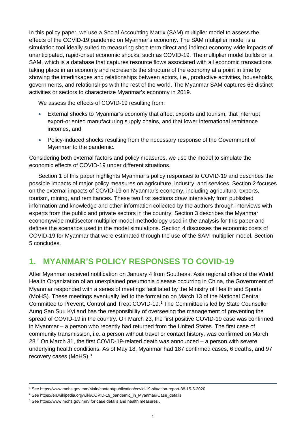In this policy paper, we use a Social Accounting Matrix (SAM) multiplier model to assess the effects of the COVID-19 pandemic on Myanmar's economy. The SAM multiplier model is a simulation tool ideally suited to measuring short-term direct and indirect economy-wide impacts of unanticipated, rapid-onset economic shocks, such as COVID-19. The multiplier model builds on a SAM, which is a database that captures resource flows associated with all economic transactions taking place in an economy and represents the structure of the economy at a point in time by showing the interlinkages and relationships between actors, i.e., productive activities, households, governments, and relationships with the rest of the world. The Myanmar SAM captures 63 distinct activities or sectors to characterize Myanmar's economy in 2019.

We assess the effects of COVID-19 resulting from:

- External shocks to Myanmar's economy that affect exports and tourism, that interrupt export-oriented manufacturing supply chains, and that lower international remittance incomes, and
- Policy-induced shocks resulting from the necessary response of the Government of Myanmar to the pandemic.

Considering both external factors and policy measures, we use the model to simulate the economic effects of COVID-19 under different situations.

Section 1 of this paper highlights Myanmar's policy responses to COVID-19 and describes the possible impacts of major policy measures on agriculture, industry, and services. Section 2 focuses on the external impacts of COVID-19 on Myanmar's economy, including agricultural exports, tourism, mining, and remittances. These two first sections draw intensively from published information and knowledge and other information collected by the authors through interviews with experts from the public and private sectors in the country. Section 3 describes the Myanmar economywide multisector multiplier model methodology used in the analysis for this paper and defines the scenarios used in the model simulations. Section 4 discusses the economic costs of COVID-19 for Myanmar that were estimated through the use of the SAM multiplier model. Section 5 concludes.

## <span id="page-4-0"></span>**1. MYANMAR'S POLICY RESPONSES TO COVID-19**

After Myanmar received notification on January 4 from Southeast Asia regional office of the World Health Organization of an unexplained pneumonia disease occurring in China, the Government of Myanmar responded with a series of meetings facilitated by the Ministry of Health and Sports (MoHS). These meetings eventually led to the formation on March 13 of the National Central Committee to Prevent, Control and Treat COVID-19. [1](#page-4-1) The Committee is led by State Counsellor Aung San Suu Kyi and has the responsibility of overseeing the management of preventing the spread of COVID-19 in the country. On March 23, the first positive COVID-19 case was confirmed in Myanmar – a person who recently had returned from the United States. The first case of community transmission, i.e. a person without travel or contact history, was confirmed on March  $28<sup>2</sup>$  $28<sup>2</sup>$  On March 31, the first COVID-19-related death was announced – a person with severe underlying health conditions. As of May 18, Myanmar had 187 confirmed cases, 6 deaths, and 97 recovery cases (MoHS).<sup>[3](#page-4-3)</sup>

<span id="page-4-1"></span><sup>1</sup> See<https://www.mohs.gov.mm/Main/content/publication/covid-19-situation-report-38-15-5-2020>

<span id="page-4-2"></span><sup>&</sup>lt;sup>2</sup> See [https://en.wikipedia.org/wiki/COVID-19\\_pandemic\\_in\\_Myanmar#Case\\_details](https://en.wikipedia.org/wiki/COVID-19_pandemic_in_Myanmar#Case_details)

<span id="page-4-3"></span><sup>&</sup>lt;sup>3</sup> See<https://www.mohs.gov.mm/> for case details and health measures.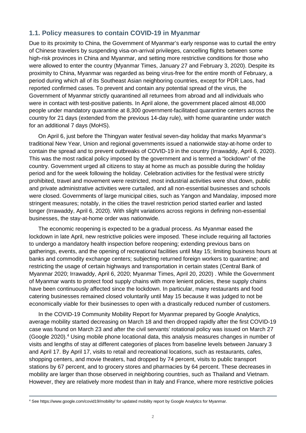#### <span id="page-5-0"></span>**1.1. Policy measures to contain COVID-19 in Myanmar**

Due to its proximity to China, the Government of Myanmar's early response was to curtail the entry of Chinese travelers by suspending visa-on-arrival privileges, cancelling flights between some high-risk provinces in China and Myanmar, and setting more restrictive conditions for those who were allowed to enter the country (Myanmar Times, January 27 and February 3, 2020). Despite its proximity to China, Myanmar was regarded as being virus-free for the entire month of February, a period during which all of its Southeast Asian neighboring countries, except for PDR Laos, had reported confirmed cases. To prevent and contain any potential spread of the virus, the Government of Myanmar strictly quarantined all returnees from abroad and all individuals who were in contact with test-positive patients. In April alone, the government placed almost 48,000 people under mandatory quarantine at 8,300 government-facilitated quarantine centers across the country for 21 days (extended from the previous 14-day rule), with home quarantine under watch for an additional 7 days (MoHS).

On April 6, just before the Thingyan water festival seven-day holiday that marks Myanmar's traditional New Year, Union and regional governments issued a nationwide stay-at-home order to contain the spread and to prevent outbreaks of COVID-19 in the country (Irrawaddy, April 6, 2020). This was the most radical policy imposed by the government and is termed a "lockdown" of the country. Government urged all citizens to stay at home as much as possible during the holiday period and for the week following the holiday. Celebration activities for the festival were strictly prohibited, travel and movement were restricted, most industrial activities were shut down, public and private administrative activities were curtailed, and all non-essential businesses and schools were closed. Governments of large municipal cities, such as Yangon and Mandalay, imposed more stringent measures; notably, in the cities the travel restriction period started earlier and lasted longer (Irrawaddy, April 6, 2020). With slight variations across regions in defining non-essential businesses, the stay-at-home order was nationwide.

The economic reopening is expected to be a gradual process. As Myanmar eased the lockdown in late April, new restrictive policies were imposed. These include requiring all factories to undergo a mandatory health inspection before reopening; extending previous bans on gatherings, events, and the opening of recreational facilities until May 15; limiting business hours at banks and commodity exchange centers; subjecting returned foreign workers to quarantine; and restricting the usage of certain highways and transportation in certain states (Central Bank of Myanmar 2020; Irrawaddy, April 6, 2020; Myanmar Times, April 20, 2020) . While the Government of Myanmar wants to protect food supply chains with more lenient policies, these supply chains have been continuously affected since the lockdown. In particular, many restaurants and food catering businesses remained closed voluntarily until May 15 because it was judged to not be economically viable for their businesses to open with a drastically reduced number of customers.

In the COVID-19 Community Mobility Report for Myanmar prepared by Google Analytics, average mobility started decreasing on March 18 and then dropped rapidly after the first COVID-19 case was found on March 23 and after the civil servants' rotational policy was issued on March 27 (Google 2020). [4](#page-5-1) Using mobile phone locational data, this analysis measures changes in number of visits and lengths of stay at different categories of places from baseline levels between January 3 and April 17. By April 17, visits to retail and recreational locations, such as restaurants, cafes, shopping centers, and movie theaters, had dropped by 74 percent, visits to public transport stations by 67 percent, and to grocery stores and pharmacies by 64 percent. These decreases in mobility are larger than those observed in neighboring countries, such as Thailand and Vietnam. However, they are relatively more modest than in Italy and France, where more restrictive policies

<span id="page-5-1"></span><sup>4</sup> See<https://www.google.com/covid19/mobility/> for updated mobility report by Google Analytics for Myanmar.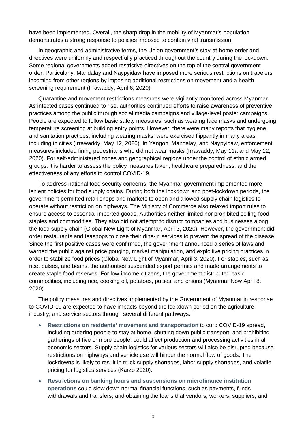have been implemented. Overall, the sharp drop in the mobility of Myanmar's population demonstrates a strong response to policies imposed to contain viral transmission.

In geographic and administrative terms, the Union government's stay-at-home order and directives were uniformly and respectfully practiced throughout the country during the lockdown. Some regional governments added restrictive directives on the top of the central government order. Particularly, Mandalay and Naypyidaw have imposed more serious restrictions on travelers incoming from other regions by imposing additional restrictions on movement and a health screening requirement (Irrawaddy, April 6, 2020)

Quarantine and movement restrictions measures were vigilantly monitored across Myanmar. As infected cases continued to rise, authorities continued efforts to raise awareness of preventive practices among the public through social media campaigns and village-level poster campaigns. People are expected to follow basic safety measures, such as wearing face masks and undergoing temperature screening at building entry points. However, there were many reports that hygiene and sanitation practices, including wearing masks, were exercised flippantly in many areas, including in cities (Irrawaddy, May 12, 2020). In Yangon, Mandalay, and Naypyidaw, enforcement measures included fining pedestrians who did not wear masks (Irrawaddy, May 11a and May 12, 2020). For self-administered zones and geographical regions under the control of ethnic armed groups, it is harder to assess the policy measures taken, healthcare preparedness, and the effectiveness of any efforts to control COVID-19.

To address national food security concerns, the Myanmar government implemented more lenient policies for food supply chains. During both the lockdown and post-lockdown periods, the government permitted retail shops and markets to open and allowed supply chain logistics to operate without restriction on highways. The Ministry of Commerce also relaxed import rules to ensure access to essential imported goods. Authorities neither limited nor prohibited selling food staples and commodities. They also did not attempt to disrupt companies and businesses along the food supply chain (Global New Light of Myanmar, April 3, 2020). However, the government did order restaurants and teashops to close their dine-in services to prevent the spread of the disease. Since the first positive cases were confirmed, the government announced a series of laws and warned the public against price gouging, market manipulation, and exploitive pricing practices in order to stabilize food prices (Global New Light of Myanmar, April 3, 2020). For staples, such as rice, pulses, and beans, the authorities suspended export permits and made arrangements to create staple food reserves. For low-income citizens, the government distributed basic commodities, including rice, cooking oil, potatoes, pulses, and onions (Myanmar Now April 8, 2020).

The policy measures and directives implemented by the Government of Myanmar in response to COVID-19 are expected to have impacts beyond the lockdown period on the agriculture, industry, and service sectors through several different pathways.

- **Restrictions on residents' movement and transportation** to curb COVID-19 spread, including ordering people to stay at home, shutting down public transport, and prohibiting gatherings of five or more people, could affect production and processing activities in all economic sectors. Supply chain logistics for various sectors will also be disrupted because restrictions on highways and vehicle use will hinder the normal flow of goods. The lockdowns is likely to result in truck supply shortages, labor supply shortages, and volatile pricing for logistics services (Karzo 2020).
- **Restrictions on banking hours and suspensions on microfinance institution operations** could slow down normal financial functions, such as payments, funds withdrawals and transfers, and obtaining the loans that vendors, workers, suppliers, and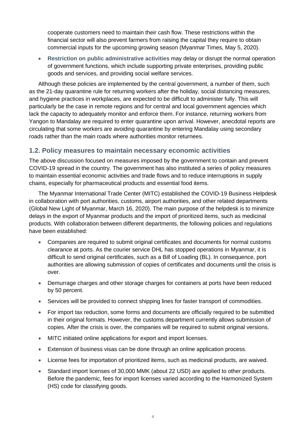cooperate customers need to maintain their cash flow. These restrictions within the financial sector will also prevent farmers from raising the capital they require to obtain commercial inputs for the upcoming growing season (Myanmar Times, May 5, 2020).

• **Restriction on public administrative activities** may delay or disrupt the normal operation of government functions, which include supporting private enterprises, providing public goods and services, and providing social welfare services.

Although these policies are implemented by the central government, a number of them, such as the 21-day quarantine rule for returning workers after the holiday, social distancing measures, and hygiene practices in workplaces, are expected to be difficult to administer fully. This will particularly be the case in remote regions and for central and local government agencies which lack the capacity to adequately monitor and enforce them. For instance, returning workers from Yangon to Mandalay are required to enter quarantine upon arrival. However, anecdotal reports are circulating that some workers are avoiding quarantine by entering Mandalay using secondary roads rather than the main roads where authorities monitor returnees.

#### <span id="page-7-0"></span>**1.2. Policy measures to maintain necessary economic activities**

The above discussion focused on measures imposed by the government to contain and prevent COVID-19 spread in the country. The government has also instituted a series of policy measures to maintain essential economic activities and trade flows and to reduce interruptions in supply chains, especially for pharmaceutical products and essential food items.

The Myanmar International Trade Center (MITC) established the COVID-19 Business Helpdesk in collaboration with port authorities, customs, airport authorities, and other related departments (Global New Light of Myanmar, March 16, 2020). The main purpose of the helpdesk is to minimize delays in the export of Myanmar products and the import of prioritized items, such as medicinal products. With collaboration between different departments, the following policies and regulations have been established:

- Companies are required to submit original certificates and documents for normal customs clearance at ports. As the courier service DHL has stopped operations in Myanmar, it is difficult to send original certificates, such as a Bill of Loading (BL). In consequence, port authorities are allowing submission of copies of certificates and documents until the crisis is over.
- Demurrage charges and other storage charges for containers at ports have been reduced by 50 percent.
- Services will be provided to connect shipping lines for faster transport of commodities.
- For import tax reduction, some forms and documents are officially required to be submitted in their original formats. However, the customs department currently allows submission of copies. After the crisis is over, the companies will be required to submit original versions.
- MITC initiated online applications for export and import licenses.
- Extension of business visas can be done through an online application process.
- License fees for importation of prioritized items, such as medicinal products, are waived.
- Standard import licenses of 30,000 MMK (about 22 USD) are applied to other products. Before the pandemic, fees for import licenses varied according to the Harmonized System (HS) code for classifying goods.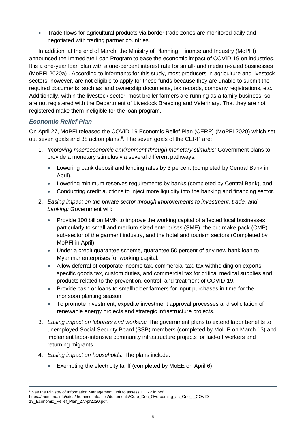• Trade flows for agricultural products via border trade zones are monitored daily and negotiated with trading partner countries.

In addition, at the end of March, the Ministry of Planning, Finance and Industry (MoPFI) announced the Immediate Loan Program to ease the economic impact of COVID-19 on industries. It is a one-year loan plan with a one-percent interest rate for small- and medium-sized businesses (MoPFI 2020a) . According to informants for this study, most producers in agriculture and livestock sectors, however, are not eligible to apply for these funds because they are unable to submit the required documents, such as land ownership documents, tax records, company registrations, etc. Additionally, within the livestock sector, most broiler farmers are running as a family business, so are not registered with the Department of Livestock Breeding and Veterinary. That they are not registered make them ineligible for the loan program.

#### *Economic Relief Plan*

On April 27, MoPFI released the COVID-19 Economic Relief Plan (CERP) (MoPFI 2020) which set out seven goals and 38 action plans.<sup>[5](#page-8-0)</sup>. The seven goals of the CERP are:

- 1. *Improving macroeconomic environment through monetary stimulus:* Government plans to provide a monetary stimulus via several different pathways:
	- Lowering bank deposit and lending rates by 3 percent (completed by Central Bank in April),
	- Lowering minimum reserves requirements by banks (completed by Central Bank), and
	- Conducting credit auctions to inject more liquidity into the banking and financing sector.
- 2. *Easing impact on the private sector through improvements to investment, trade, and banking:* Government will:
	- Provide 100 billion MMK to improve the working capital of affected local businesses, particularly to small and medium-sized enterprises (SME), the cut-make-pack (CMP) sub-sector of the garment industry, and the hotel and tourism sectors (Completed by MoPFI in April).
	- Under a credit guarantee scheme, guarantee 50 percent of any new bank loan to Myanmar enterprises for working capital.
	- Allow deferral of corporate income tax, commercial tax, tax withholding on exports, specific goods tax, custom duties, and commercial tax for critical medical supplies and products related to the prevention, control, and treatment of COVID-19.
	- Provide cash or loans to smallholder farmers for input purchases in time for the monsoon planting season.
	- To promote investment, expedite investment approval processes and solicitation of renewable energy projects and strategic infrastructure projects.
- 3. *Easing impact on laborers and workers:* The government plans to extend labor benefits to unemployed Social Security Board (SSB) members (completed by MoLIP on March 13) and implement labor-intensive community infrastructure projects for laid-off workers and returning migrants.
- 4. *Easing impact on households:* The plans include:
	- Exempting the electricity tariff (completed by MoEE on April 6).

[19\\_Economic\\_Relief\\_Plan\\_27Apr2020.pdf.](https://themimu.info/sites/themimu.info/files/documents/Core_Doc_Overcoming_as_One_-_COVID-19_Economic_Relief_Plan_27Apr2020.pdf) 

<span id="page-8-0"></span><sup>5</sup> See the Ministry of Information Management Unit to assess CERP in pdf.

[https://themimu.info/sites/themimu.info/files/documents/Core\\_Doc\\_Overcoming\\_as\\_One\\_-\\_COVID-](https://themimu.info/sites/themimu.info/files/documents/Core_Doc_Overcoming_as_One_-_COVID-19_Economic_Relief_Plan_27Apr2020.pdf)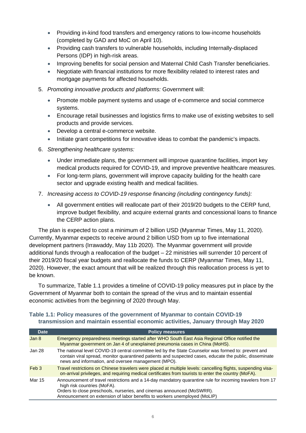- Providing in-kind food transfers and emergency rations to low-income households (completed by GAD and MoC on April 10).
- Providing cash transfers to vulnerable households, including Internally-displaced Persons (IDP) in high-risk areas.
- Improving benefits for social pension and Maternal Child Cash Transfer beneficiaries.
- Negotiate with financial institutions for more flexibility related to interest rates and mortgage payments for affected households.
- 5. *Promoting innovative products and platforms:* Government will:
	- Promote mobile payment systems and usage of e-commerce and social commerce systems.
	- Encourage retail businesses and logistics firms to make use of existing websites to sell products and provide services.
	- Develop a central e-commerce website.
	- Initiate grant competitions for innovative ideas to combat the pandemic's impacts.
- 6. *Strengthening healthcare systems:* 
	- Under immediate plans, the government will improve quarantine facilities, import key medical products required for COVID-19, and improve preventive healthcare measures.
	- For long-term plans, government will improve capacity building for the health care sector and upgrade existing health and medical facilities.
- 7. *Increasing access to COVID-19 response financing (including contingency funds):* 
	- All government entities will reallocate part of their 2019/20 budgets to the CERP fund, improve budget flexibility, and acquire external grants and concessional loans to finance the CERP action plans.

The plan is expected to cost a minimum of 2 billion USD (Myanmar Times, May 11, 2020). Currently, Myanmar expects to receive around 2 billion USD from up to five international development partners (Irrawaddy, May 11b 2020). The Myanmar government will provide additional funds through a reallocation of the budget – 22 ministries will surrender 10 percent of their 2019/20 fiscal year budgets and reallocate the funds to CERP (Myanmar Times, May 11, 2020). However, the exact amount that will be realized through this reallocation process is yet to be known.

To summarize, Table 1.1 provides a timeline of COVID-19 policy measures put in place by the Government of Myanmar both to contain the spread of the virus and to maintain essential economic activities from the beginning of 2020 through May.

| <b>Date</b>      | <b>Policy measures</b>                                                                                                                                                                                                                                                                          |
|------------------|-------------------------------------------------------------------------------------------------------------------------------------------------------------------------------------------------------------------------------------------------------------------------------------------------|
| Jan 8            | Emergency preparedness meetings started after WHO South East Asia Regional Office notified the<br>Myanmar government on Jan 4 of unexplained pneumonia cases in China (MoHS).                                                                                                                   |
| Jan 28           | The national level COVID-19 central committee led by the State Counselor was formed to: prevent and<br>contain viral spread, monitor quarantined patients and suspected cases, educate the public, disseminate<br>news and information, and oversee management (MPO).                           |
| Feb <sub>3</sub> | Travel restrictions on Chinese travelers were placed at multiple levels: cancelling flights, suspending visa-<br>on-arrival privileges, and requiring medical certificates from tourists to enter the country (MoFA).                                                                           |
| Mar 15           | Announcement of travel restrictions and a 14-day mandatory quarantine rule for incoming travelers from 17<br>high risk countries (MoFA).<br>Orders to close preschools, nurseries, and cinemas announced (MoSWRR).<br>Announcement on extension of labor benefits to workers unemployed (MoLIP) |

#### <span id="page-9-0"></span>**Table 1.1: Policy measures of the government of Myanmar to contain COVID-19 transmission and maintain essential economic activities, January through May 2020**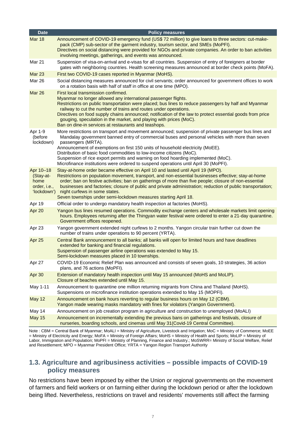| <b>Date</b>                                                   | <b>Policy measures</b>                                                                                                                                                                                                                                                                                                                                                                                                                                                                                                                                               |
|---------------------------------------------------------------|----------------------------------------------------------------------------------------------------------------------------------------------------------------------------------------------------------------------------------------------------------------------------------------------------------------------------------------------------------------------------------------------------------------------------------------------------------------------------------------------------------------------------------------------------------------------|
| <b>Mar 18</b>                                                 | Announcement of COVID-19 emergency fund (US\$ 72 million) to give loans to three sectors: cut-make-<br>pack (CMP) sub-sector of the garment industry, tourism sector, and SMEs (MoPFI).<br>Directives on social distancing were provided for NGOs and private companies. An order to ban activities<br>involving meetings, gatherings, and events was announced.                                                                                                                                                                                                     |
| Mar 21                                                        | Suspension of visa-on-arrival and e-visas for all countries. Suspension of entry of foreigners at border<br>gates with neighboring countries. Health screening measures announced at border check points (MoFA).                                                                                                                                                                                                                                                                                                                                                     |
| Mar 23                                                        | First two COVID-19 cases reported in Myanmar (MoHS).                                                                                                                                                                                                                                                                                                                                                                                                                                                                                                                 |
| <b>Mar 26</b>                                                 | Social distancing measures announced for civil servants; order announced for government offices to work<br>on a rotation basis with half of staff in office at one time (MPO).                                                                                                                                                                                                                                                                                                                                                                                       |
| <b>Mar 26</b>                                                 | First local transmission confirmed.<br>Myanmar no longer allowed any international passenger flights.<br>Restrictions on public transportation were placed; bus lines to reduce passengers by half and Myanmar<br>railway to cut the number of trains and routes under operations.<br>Directives on food supply chains announced; notification of the law to protect essential goods from price<br>gouging, speculation in the market, and playing with prices (MoC).<br>Ban on dine-in services at restaurants and teashops.                                        |
| Apr 1-9<br>(before<br>lockdown)                               | More restrictions on transport and movement announced; suspension of private passenger bus lines and<br>Mandalay government banned entry of commercial buses and personal vehicles with more than seven<br>passengers (MRTA).<br>Announcement of exemptions on first 150 units of household electricity (MoEE).<br>Distribution of basic food commodities to low-income citizens (MoC).<br>Suspension of rice export permits and warning on food hoarding implemented (MoC).<br>Microfinance institutions were ordered to suspend operations until April 30 (MoPFI). |
| Apr 10-18<br>(Stay-at-<br>home<br>order, i.e.,<br>'lockdown') | Stay-at-home order became effective on April 10 and lasted until April 19 (MPO).<br>Restrictions on population movement, transport, and non-essential businesses effective; stay-at-home<br>order; ban on festive activities; ban on gatherings of more than five people; closure of non-essential<br>businesses and factories; closure of public and private administration; reduction of public transportation;<br>night curfews in some states.<br>Seven townships under semi-lockdown measures starting April 18.                                                |
| Apr 19                                                        | Official order to undergo mandatory health inspection at factories (MoHS).                                                                                                                                                                                                                                                                                                                                                                                                                                                                                           |
| Apr 20                                                        | Yangon bus lines resumed operations. Commodity exchange centers and wholesale markets limit opening<br>hours. Employees returning after the Thingyan water festival were ordered to enter a 21-day quarantine.<br>Government offices reopened.                                                                                                                                                                                                                                                                                                                       |
| Apr 23                                                        | Yangon government extended night curfews to 2 months. Yangon circular train further cut down the<br>number of trains under operations to 90 percent (YRTA).                                                                                                                                                                                                                                                                                                                                                                                                          |
| Apr 25                                                        | Central Bank announcement to all banks; all banks will open for limited hours and have deadlines<br>extended for banking and financial regulations.<br>Suspension of passenger airline operations was extended to May 15.<br>Semi-lockdown measures placed in 10 townships.                                                                                                                                                                                                                                                                                          |
| Apr 27                                                        | COVID-19 Economic Relief Plan was announced and consists of seven goals, 10 strategies, 36 action<br>plans, and 76 actions (MoPFI).                                                                                                                                                                                                                                                                                                                                                                                                                                  |
| Apr 30                                                        | Extension of mandatory health inspection until May 15 announced (MoHS and MoLIP).<br>Closure of beaches extended until May 15.                                                                                                                                                                                                                                                                                                                                                                                                                                       |
| May 1-11                                                      | Announcement to quarantine one million returning migrants from China and Thailand (MoHS).<br>Suspensions on microfinance institution operations extended to May 15 (MOPFI).                                                                                                                                                                                                                                                                                                                                                                                          |
| <b>May 12</b>                                                 | Announcement on bank hours reverting to regular business hours on May 12 (CBM).<br>Yangon made wearing masks mandatory with fines for violators (Yangon Government).                                                                                                                                                                                                                                                                                                                                                                                                 |
| May 14                                                        | Announcement on job creation program in agriculture and construction to unemployed (MoALI)                                                                                                                                                                                                                                                                                                                                                                                                                                                                           |
| <b>May 15</b>                                                 | Announcement on incrementally extending the previous bans on gatherings and festivals, closure of<br>nurseries, boarding schools, and cinemas until May 31 (Covid-19 Central Committee).                                                                                                                                                                                                                                                                                                                                                                             |

Note : CBM = Central Bank of Myanmar; MoALI = Ministry of Agriculture, Livestock and Irrigation; MoC = Ministry of Commerce; MoEE = Ministry of Electricity and Energy; MoFA = Ministry of Foreign Affairs; MoHS = Ministry of Health and Sports; MoLIP = Ministry of Labor, Immigration and Population; MoPFI = Ministry of Planning, Finance and Industry.; MoSWRR= Ministry of Social Welfare, Relief and Resettlement; MPO = Myanmar President Office; YRTA = Yangon Region Transport Authority

#### <span id="page-10-0"></span>**1.3. Agriculture and agribusiness activities – possible impacts of COVID-19 policy measures**

No restrictions have been imposed by either the Union or regional governments on the movement of farmers and field workers or on farming either during the lockdown period or after the lockdown being lifted. Nevertheless, restrictions on travel and residents' movements still affect the farming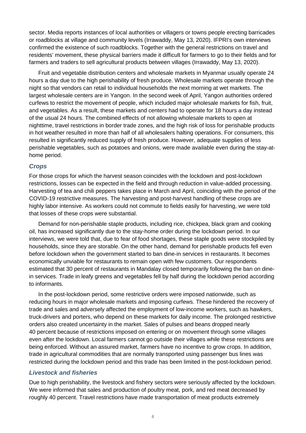sector. Media reports instances of local authorities or villagers or towns people erecting barricades or roadblocks at village and community levels (Irrawaddy, May 13, 2020). IFPRI's own interviews confirmed the existence of such roadblocks. Together with the general restrictions on travel and residents' movement, these physical barriers made it difficult for farmers to go to their fields and for farmers and traders to sell agricultural products between villages (Irrawaddy, May 13, 2020).

Fruit and vegetable distribution centers and wholesale markets in Myanmar usually operate 24 hours a day due to the high perishability of fresh produce. Wholesale markets operate through the night so that vendors can retail to individual households the next morning at wet markets. The largest wholesale centers are in Yangon. In the second week of April, Yangon authorities ordered curfews to restrict the movement of people, which included major wholesale markets for fish, fruit, and vegetables. As a result, these markets and centers had to operate for 18 hours a day instead of the usual 24 hours. The combined effects of not allowing wholesale markets to open at nighttime, travel restrictions in border trade zones, and the high risk of loss for perishable products in hot weather resulted in more than half of all wholesalers halting operations. For consumers, this resulted in significantly reduced supply of fresh produce. However, adequate supplies of less perishable vegetables, such as potatoes and onions, were made available even during the stay-athome period.

#### *Crops*

For those crops for which the harvest season coincides with the lockdown and post-lockdown restrictions, losses can be expected in the field and through reduction in value-added processing. Harvesting of tea and chili peppers takes place in March and April, coinciding with the period of the COVID-19 restrictive measures. The harvesting and post-harvest handling of these crops are highly labor intensive. As workers could not commute to fields easily for harvesting, we were told that losses of these crops were substantial.

Demand for non-perishable staple products, including rice, chickpea, black gram and cooking oil, has increased significantly due to the stay-home order during the lockdown period. In our interviews, we were told that, due to fear of food shortages, these staple goods were stockpiled by households, since they are storable. On the other hand, demand for perishable products fell even before lockdown when the government started to ban dine-in services in restaurants. It becomes economically unviable for restaurants to remain open with few customers. Our respondents estimated that 30 percent of restaurants in Mandalay closed temporarily following the ban on dinein services. Trade in leafy greens and vegetables fell by half during the lockdown period according to informants.

In the post-lockdown period, some restrictive orders were imposed nationwide, such as reducing hours in major wholesale markets and imposing curfews. These hindered the recovery of trade and sales and adversely affected the employment of low-income workers, such as hawkers, truck-drivers and porters, who depend on these markets for daily income. The prolonged restrictive orders also created uncertainty in the market. Sales of pulses and beans dropped nearly 40 percent because of restrictions imposed on entering or on movement through some villages even after the lockdown. Local farmers cannot go outside their villages while these restrictions are being enforced. Without an assured market, farmers have no incentive to grow crops. In addition, trade in agricultural commodities that are normally transported using passenger bus lines was restricted during the lockdown period and this trade has been limited in the post-lockdown period.

#### *Livestock and fisheries*

Due to high perishability, the livestock and fishery sectors were seriously affected by the lockdown. We were informed that sales and production of poultry meat, pork, and red meat decreased by roughly 40 percent. Travel restrictions have made transportation of meat products extremely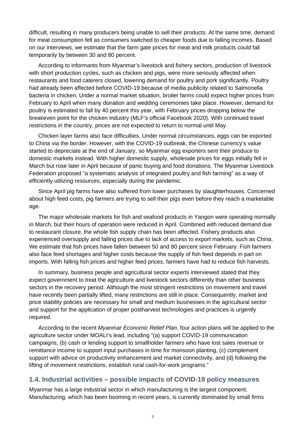difficult, resulting in many producers being unable to sell their products. At the same time, demand for meat consumption fell as consumers switched to cheaper foods due to falling incomes. Based on our interviews, we estimate that the farm gate prices for meat and milk products could fall temporarily by between 30 and 80 percent.

According to informants from Myanmar's livestock and fishery sectors, production of livestock with short production cycles, such as chicken and pigs, were more seriously affected when restaurants and food caterers closed, lowering demand for poultry and pork significantly. Poultry had already been affected before COVID-19 because of media publicity related to Salmonella bacteria in chicken. Under a normal market situation, broiler farms could expect higher prices from February to April when many donation and wedding ceremonies take place. However, demand for poultry is estimated to fall by 40 percent this year, with February prices dropping below the breakeven point for the chicken industry (MLF's official Facebook 2020). With continued travel restrictions in the country, prices are not expected to return to normal until May.

Chicken layer farms also face difficulties. Under normal circumstances, eggs can be exported to China via the border. However, with the COVID-19 outbreak, the Chinese currency's value started to depreciate at the end of January, so Myanmar egg exporters sent their produce to domestic markets instead. With higher domestic supply, wholesale prices for eggs initially fell in March but rose later in April because of panic buying and food donations. The Myanmar Livestock Federation proposed "a systematic analysis of integrated poultry and fish farming" as a way of efficiently utilizing resources, especially during the pandemic.

Since April pig farms have also suffered from lower purchases by slaughterhouses. Concerned about high feed costs, pig farmers are trying to sell their pigs even before they reach a marketable age.

The major wholesale markets for fish and seafood products in Yangon were operating normally in March, but their hours of operation were reduced in April. Combined with reduced demand due to restaurant closure, the whole fish supply chain has been affected. Fishery products also experienced oversupply and falling prices due to lack of access to export markets, such as China. We estimate that fish prices have fallen between 50 and 80 percent since February. Fish farmers also face feed shortages and higher costs because the supply of fish feed depends in part on imports. With falling fish prices and higher feed prices, farmers have had to reduce fish harvests.

In summary, business people and agricultural sector experts interviewed stated that they expect government to treat the agriculture and livestock sectors differently than other business sectors in the recovery period. Although the most stringent restrictions on movement and travel have recently been partially lifted, many restrictions are still in place. Consequently, market and price stability policies are necessary for small and medium businesses in the agricultural sector and support for the application of proper postharvest technologies and practices is urgently required.

According to the recent *Myanmar Economic Relief Plan*, four action plans will be applied to the agriculture sector under MOALI's lead, including "(a) support COVID-19 communication campaigns, (b) cash or lending support to smallholder farmers who have lost sales revenue or remittance income to support input purchases in time for monsoon planting, (c) complement support with advice on productivity enhancement and market connectivity, and (d) following the lifting of movement restrictions, establish rural cash-for-work programs."

#### <span id="page-12-0"></span>**1.4. Industrial activities – possible impacts of COVID-19 policy measures**

Myanmar has a large industrial sector in which manufacturing is the largest component. Manufacturing, which has been booming in recent years, is currently dominated by small firms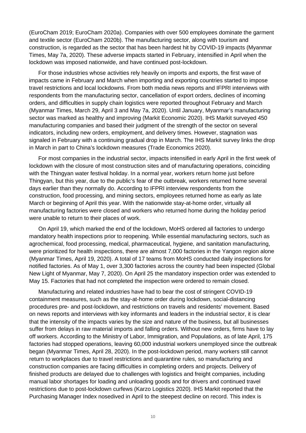(EuroCham 2019; EuroCham 2020a). Companies with over 500 employees dominate the garment and textile sector (EuroCham 2020b). The manufacturing sector, along with tourism and construction, is regarded as the sector that has been hardest hit by COVID-19 impacts (Myanmar Times, May 7a, 2020). These adverse impacts started in February, intensified in April when the lockdown was imposed nationwide, and have continued post-lockdown.

For those industries whose activities rely heavily on imports and exports, the first wave of impacts came in February and March when importing and exporting countries started to impose travel restrictions and local lockdowns. From both media news reports and IFPRI interviews with respondents from the manufacturing sector, cancellation of export orders, declines of incoming orders, and difficulties in supply chain logistics were reported throughout February and March (Myanmar Times, March 29, April 3 and May 7a, 2020). Until January, Myanmar's manufacturing sector was marked as healthy and improving (Markit Economic 2020). IHS Markit surveyed 450 manufacturing companies and based their judgment of the strength of the sector on several indicators, including new orders, employment, and delivery times. However, stagnation was signaled in February with a continuing gradual drop in March. The IHS Markit survey links the drop in March in part to China's lockdown measures (Trade Economics 2020).

For most companies in the industrial sector, impacts intensified in early April in the first week of lockdown with the closure of most construction sites and of manufacturing operations, coinciding with the Thingyan water festival holiday. In a normal year, workers return home just before Thingyan, but this year, due to the public's fear of the outbreak, workers returned home several days earlier than they normally do. According to IFPRI interview respondents from the construction, food processing, and mining sectors, employees returned home as early as late March or beginning of April this year. With the nationwide stay-at-home order, virtually all manufacturing factories were closed and workers who returned home during the holiday period were unable to return to their places of work.

On April 19, which marked the end of the lockdown, MoHS ordered all factories to undergo mandatory health inspections prior to reopening. While essential manufacturing sectors, such as agrochemical, food processing, medical, pharmaceutical, hygiene, and sanitation manufacturing, were prioritized for health inspections, there are almost 7,000 factories in the Yangon region alone (Myanmar Times, April 19, 2020). A total of 17 teams from MoHS conducted daily inspections for notified factories. As of May 1, over 3,300 factories across the country had been inspected (Global New Light of Myanmar, May 7, 2020). On April 25 the mandatory inspection order was extended to May 15. Factories that had not completed the inspection were ordered to remain closed.

Manufacturing and related industries have had to bear the cost of stringent COVID-19 containment measures, such as the stay-at-home order during lockdown, social-distancing procedures pre- and post-lockdown, and restrictions on travels and residents' movement. Based on news reports and interviews with key informants and leaders in the industrial sector, it is clear that the intensity of the impacts varies by the size and nature of the business, but all businesses suffer from delays in raw material imports and falling orders. Without new orders, firms have to lay off workers. According to the Ministry of Labor, Immigration, and Populations, as of late April, 175 factories had stopped operations, leaving 60,000 industrial workers unemployed since the outbreak began (Myanmar Times, April 28, 2020). In the post-lockdown period, many workers still cannot return to workplaces due to travel restrictions and quarantine rules, so manufacturing and construction companies are facing difficulties in completing orders and projects. Delivery of finished products are delayed due to challenges with logistics and freight companies, including manual labor shortages for loading and unloading goods and for drivers and continued travel restrictions due to post-lockdown curfews (Karzo Logistics 2020). IHS Markit reported that the Purchasing Manager Index nosedived in April to the steepest decline on record. This index is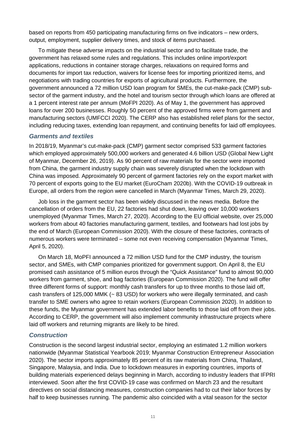based on reports from 450 participating manufacturing firms on five indicators – new orders, output, employment, supplier delivery times, and stock of items purchased.

To mitigate these adverse impacts on the industrial sector and to facilitate trade, the government has relaxed some rules and regulations. This includes online import/export applications, reductions in container storage charges, relaxations on required forms and documents for import tax reduction, waivers for license fees for importing prioritized items, and negotiations with trading countries for exports of agricultural products. Furthermore, the government announced a 72 million USD loan program for SMEs, the cut-make-pack (CMP) subsector of the garment industry, and the hotel and tourism sector through which loans are offered at a 1 percent interest rate per annum (MoFPI 2020). As of May 1, the government has approved loans for over 200 businesses. Roughly 50 percent of the approved firms were from garment and manufacturing sectors (UMFCCI 2020). The CERP also has established relief plans for the sector, including reducing taxes, extending loan repayment, and continuing benefits for laid off employees.

#### *Garments and textiles*

In 2018/19, Myanmar's cut-make-pack (CMP) garment sector comprised 533 garment factories which employed approximately 500,000 workers and generated 4.6 billion USD (Global New Light of Myanmar, December 26, 2019). As 90 percent of raw materials for the sector were imported from China, the garment industry supply chain was severely disrupted when the lockdown with China was imposed. Approximately 90 percent of garment factories rely on the export market with 70 percent of exports going to the EU market (EuroCham 2020b). With the COVID-19 outbreak in Europe, all orders from the region were cancelled in March (Myanmar Times, March 29, 2020).

Job loss in the garment sector has been widely discussed in the news media. Before the cancellation of orders from the EU, 22 factories had shut down, leaving over 10,000 workers unemployed (Myanmar Times, March 27, 2020). According to the EU official website, over 25,000 workers from about 40 factories manufacturing garment, textiles, and footwears had lost jobs by the end of March (European Commission 2020). With the closure of these factories, contracts of numerous workers were terminated – some not even receiving compensation (Myanmar Times, April 5, 2020).

On March 18, MoPFI announced a 72 million USD fund for the CMP industry, the tourism sector, and SMEs, with CMP companies prioritized for government support. On April 8, the EU promised cash assistance of 5 million euros through the "Quick Assistance" fund to almost 90,000 workers from garment, shoe, and bag factories (European Commission 2020). The fund will offer three different forms of support: monthly cash transfers for up to three months to those laid off, cash transfers of 125,000 MMK (~ 83 USD) for workers who were illegally terminated, and cash transfer to SME owners who agree to retain workers (European Commission 2020). In addition to these funds, the Myanmar government has extended labor benefits to those laid off from their jobs. According to CERP, the government will also implement community infrastructure projects where laid off workers and returning migrants are likely to be hired.

#### *Construction*

Construction is the second largest industrial sector, employing an estimated 1.2 million workers nationwide (Myanmar Statistical Yearbook 2019; Myanmar Construction Entrepreneur Association 2020). The sector imports approximately 85 percent of its raw materials from China, Thailand, Singapore, Malaysia, and India. Due to lockdown measures in exporting countries, imports of building materials experienced delays beginning in March, according to industry leaders that IFPRI interviewed. Soon after the first COVID-19 case was confirmed on March 23 and the resultant directives on social distancing measures, construction companies had to cut their labor forces by half to keep businesses running. The pandemic also coincided with a vital season for the sector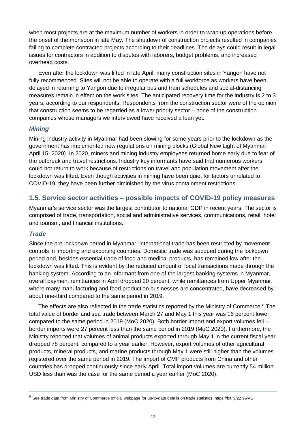when most projects are at the maximum number of workers in order to wrap up operations before the onset of the monsoon in late May. The shutdown of construction projects resulted in companies failing to complete contracted projects according to their deadlines. The delays could result in legal issues for contractors in addition to disputes with laborers, budget problems, and increased overhead costs.

Even after the lockdown was lifted in late April, many construction sites in Yangon have not fully recommenced. Sites will not be able to operate with a full workforce as workers have been delayed in returning to Yangon due to irregular bus and train schedules and social-distancing measures remain in effect on the work sites. The anticipated recovery time for the industry is 2 to 3 years, according to our respondents. Respondents from the construction sector were of the opinion that construction seems to be regarded as a lower priority sector – none of the construction companies whose managers we interviewed have received a loan yet.

#### *Mining*

Mining industry activity in Myanmar had been slowing for some years prior to the lockdown as the government has implemented new regulations on mining blocks (Global New Light of Myanmar, April 15, 2020). In 2020, miners and mining industry employees returned home early due to fear of the outbreak and travel restrictions. Industry key informants have said that numerous workers could not return to work because of restrictions on travel and population movement after the lockdown was lifted. Even though activities in mining have been quiet for factors unrelated to COVID-19, they have been further diminished by the virus containment restrictions.

#### <span id="page-15-0"></span>**1.5. Service sector activities – possible impacts of COVID-19 policy measures**

Myanmar's service sector was the largest contributor to national GDP in recent years. The sector is comprised of trade, transportation, social and administrative services, communications, retail, hotel and tourism, and financial institutions.

#### *Trade*

Since the pre-lockdown period in Myanmar, international trade has been restricted by movement controls in importing and exporting countries. Domestic trade was subdued during the lockdown period and, besides essential trade of food and medical products, has remained low after the lockdown was lifted. This is evident by the reduced amount of local transactions made through the banking system. According to an informant from one of the largest banking systems in Myanmar, overall payment remittances in April dropped 20 percent, while remittances from Upper Myanmar, where many manufacturing and food production businesses are concentrated, have decreased by about one-third compared to the same period in 2019.

The effects are also reflected in the trade statistics reported by the Ministry of Commerce.<sup>[6](#page-15-1)</sup> The total value of border and sea trade between March 27 and May 1 this year was 16 percent lower compared to the same period in 2019 (MoC 2020). Both border import and export volumes fell – border imports were 27 percent less than the same period in 2019 (MoC 2020). Furthermore, the Ministry reported that volumes of animal products exported through May 1 in the current fiscal year dropped 78 percent, compared to a year earlier. However, export volumes of other agricultural products, mineral products, and marine products through May 1 were still higher than the volumes registered over the same period in 2019. The import of CMP products from China and other countries has dropped continuously since early April. Total import volumes are currently 54 million USD less than was the case for the same period a year earlier (MoC 2020).

<span id="page-15-1"></span><sup>6</sup> See trade data from Ministry of Commerce official webpage for up-to-date details on trade statistics:<https://bit.ly/2Zi9wVG>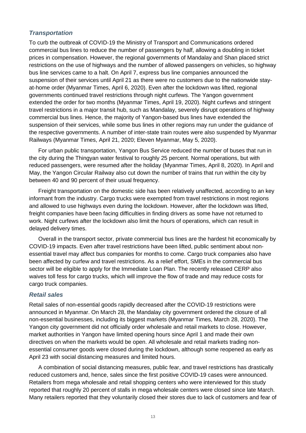#### *Transportation*

To curb the outbreak of COVID-19 the Ministry of Transport and Communications ordered commercial bus lines to reduce the number of passengers by half, allowing a doubling in ticket prices in compensation. However, the regional governments of Mandalay and Shan placed strict restrictions on the use of highways and the number of allowed passengers on vehicles, so highway bus line services came to a halt. On April 7, express bus line companies announced the suspension of their services until April 21 as there were no customers due to the nationwide stayat-home order (Myanmar Times, April 6, 2020). Even after the lockdown was lifted, regional governments continued travel restrictions through night curfews. The Yangon government extended the order for two months (Myanmar Times, April 19, 2020). Night curfews and stringent travel restrictions in a major transit hub, such as Mandalay, severely disrupt operations of highway commercial bus lines. Hence, the majority of Yangon-based bus lines have extended the suspension of their services, while some bus lines in other regions may run under the guidance of the respective governments. A number of inter-state train routes were also suspended by Myanmar Railways (Myanmar Times, April 21, 2020; Eleven Myanmar, May 5, 2020).

For urban public transportation, Yangon Bus Service reduced the number of buses that run in the city during the Thingyan water festival to roughly 25 percent. Normal operations, but with reduced passengers, were resumed after the holiday (Myanmar Times, April 8, 2020). In April and May, the Yangon Circular Railway also cut down the number of trains that run within the city by between 40 and 90 percent of their usual frequency.

Freight transportation on the domestic side has been relatively unaffected, according to an key informant from the industry. Cargo trucks were exempted from travel restrictions in most regions and allowed to use highways even during the lockdown. However, after the lockdown was lifted, freight companies have been facing difficulties in finding drivers as some have not returned to work. Night curfews after the lockdown also limit the hours of operations, which can result in delayed delivery times.

Overall in the transport sector, private commercial bus lines are the hardest hit economically by COVID-19 impacts. Even after travel restrictions have been lifted, public sentiment about nonessential travel may affect bus companies for months to come. Cargo truck companies also have been affected by curfew and travel restrictions. As a relief effort, SMEs in the commercial bus sector will be eligible to apply for the Immediate Loan Plan. The recently released CERP also waives toll fess for cargo trucks, which will improve the flow of trade and may reduce costs for cargo truck companies.

#### *Retail sales*

Retail sales of non-essential goods rapidly decreased after the COVID-19 restrictions were announced in Myanmar. On March 28, the Mandalay city government ordered the closure of all non-essential businesses, including its biggest markets (Myanmar Times, March 28, 2020). The Yangon city government did not officially order wholesale and retail markets to close. However, market authorities in Yangon have limited opening hours since April 1 and made their own directives on when the markets would be open. All wholesale and retail markets trading nonessential consumer goods were closed during the lockdown, although some reopened as early as April 23 with social distancing measures and limited hours.

A combination of social distancing measures, public fear, and travel restrictions has drastically reduced customers and, hence, sales since the first positive COVID-19 cases were announced. Retailers from mega wholesale and retail shopping centers who were interviewed for this study reported that roughly 20 percent of stalls in mega wholesale centers were closed since late March. Many retailers reported that they voluntarily closed their stores due to lack of customers and fear of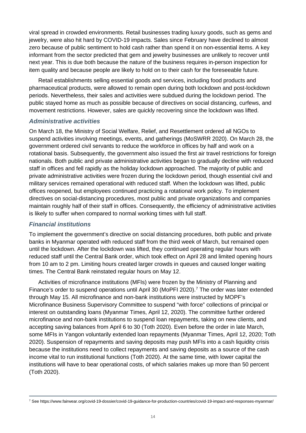viral spread in crowded environments. Retail businesses trading luxury goods, such as gems and jewelry, were also hit hard by COVID-19 impacts. Sales since February have declined to almost zero because of public sentiment to hold cash rather than spend it on non-essential items. A key informant from the sector predicted that gem and jewelry businesses are unlikely to recover until next year. This is due both because the nature of the business requires in-person inspection for item quality and because people are likely to hold on to their cash for the foreseeable future.

Retail establishments selling essential goods and services, including food products and pharmaceutical products, were allowed to remain open during both lockdown and post-lockdown periods. Nevertheless, their sales and activities were subdued during the lockdown period. The public stayed home as much as possible because of directives on social distancing, curfews, and movement restrictions. However, sales are quickly recovering since the lockdown was lifted.

#### *Administrative activities*

On March 18, the Ministry of Social Welfare, Relief, and Resettlement ordered all NGOs to suspend activities involving meetings, events, and gatherings (MoSWRR 2020). On March 28, the government ordered civil servants to reduce the workforce in offices by half and work on a rotational basis. Subsequently, the government also issued the first air travel restrictions for foreign nationals. Both public and private administrative activities began to gradually decline with reduced staff in offices and fell rapidly as the holiday lockdown approached. The majority of public and private administrative activities were frozen during the lockdown period, though essential civil and military services remained operational with reduced staff. When the lockdown was lifted, public offices reopened, but employees continued practicing a rotational work policy. To implement directives on social-distancing procedures, most public and private organizations and companies maintain roughly half of their staff in offices. Consequently, the efficiency of administrative activities is likely to suffer when compared to normal working times with full staff.

#### *Financial institutions*

To implement the government's directive on social distancing procedures, both public and private banks in Myanmar operated with reduced staff from the third week of March, but remained open until the lockdown. After the lockdown was lifted, they continued operating regular hours with reduced staff until the Central Bank order, which took effect on April 28 and limited opening hours from 10 am to 2 pm. Limiting hours created larger crowds in queues and caused longer waiting times. The Central Bank reinstated regular hours on May 12.

Activities of microfinance institutions (MFIs) were frozen by the Ministry of Planning and Finance's order to suspend operations until April 30 (MoPFI 2020).<sup>[7](#page-17-0)</sup> The order was later extended through May 15. All microfinance and non-bank institutions were instructed by MOPF's Microfinance Business Supervisory Committee to suspend "with force" collections of principal or interest on outstanding loans (Myanmar Times, April 12, 2020). The committee further ordered microfinance and non-bank institutions to suspend loan repayments, taking on new clients, and accepting saving balances from April 6 to 30 (Toth 2020). Even before the order in late March, some MFIs in Yangon voluntarily extended loan repayments (Myanmar Times, April 12, 2020; Toth 2020). Suspension of repayments and saving deposits may push MFIs into a cash liquidity crisis because the institutions need to collect repayments and saving deposits as a source of the cash income vital to run institutional functions (Toth 2020). At the same time, with lower capital the institutions will have to bear operational costs, of which salaries makes up more than 50 percent (Toth 2020).

<span id="page-17-0"></span><sup>7</sup> See https://www.fairwear.org/covid-19-dossier/covid-19-guidance-for-production-countries/covid-19-impact-and-responses-myanmar/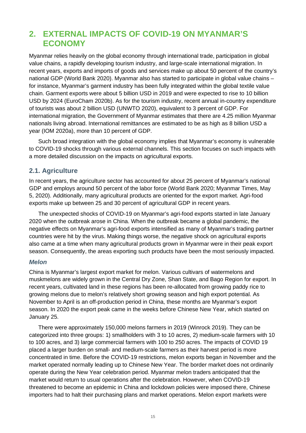## <span id="page-18-0"></span>**2. EXTERNAL IMPACTS OF COVID-19 ON MYANMAR'S ECONOMY**

Myanmar relies heavily on the global economy through international trade, participation in global value chains, a rapidly developing tourism industry, and large-scale international migration. In recent years, exports and imports of goods and services make up about 50 percent of the country's national GDP (World Bank 2020). Myanmar also has started to participate in global value chains – for instance, Myanmar's garment industry has been fully integrated within the global textile value chain. Garment exports were about 5 billion USD in 2019 and were expected to rise to 10 billion USD by 2024 (EuroCham 2020b). As for the tourism industry, recent annual in-country expenditure of tourists was about 2 billion USD (UNWTO 2020), equivalent to 3 percent of GDP. For international migration, the Government of Myanmar estimates that there are 4.25 million Myanmar nationals living abroad. International remittances are estimated to be as high as 8 billion USD a year (IOM 2020a), more than 10 percent of GDP.

Such broad integration with the global economy implies that Myanmar's economy is vulnerable to COVID-19 shocks through various external channels. This section focuses on such impacts with a more detailed discussion on the impacts on agricultural exports.

#### <span id="page-18-1"></span>**2.1. Agriculture**

In recent years, the agriculture sector has accounted for about 25 percent of Myanmar's national GDP and employs around 50 percent of the labor force (World Bank 2020; Myanmar Times, May 5, 2020). Additionally, many agricultural products are oriented for the export market. Agri-food exports make up between 25 and 30 percent of agricultural GDP in recent years.

The unexpected shocks of COVID-19 on Myanmar's agri-food exports started in late January 2020 when the outbreak arose in China. When the outbreak became a global pandemic, the negative effects on Myanmar's agri-food exports intensified as many of Myanmar's trading partner countries were hit by the virus. Making things worse, the negative shock on agricultural exports also came at a time when many agricultural products grown in Myanmar were in their peak export season. Consequently, the areas exporting such products have been the most seriously impacted.

#### *Melon*

China is Myanmar's largest export market for melon. Various cultivars of watermelons and muskmelons are widely grown in the Central Dry Zone, Shan State, and Bago Region for export. In recent years, cultivated land in these regions has been re-allocated from growing paddy rice to growing melons due to melon's relatively short growing season and high export potential. As November to April is an off-production period in China, these months are Myanmar's export season. In 2020 the export peak came in the weeks before Chinese New Year, which started on January 25.

There were approximately 150,000 melons farmers in 2019 (Winrock 2019). They can be categorized into three groups: 1) smallholders with 3 to 10 acres, 2) medium-scale farmers with 10 to 100 acres, and 3) large commercial farmers with 100 to 250 acres. The impacts of COVID 19 placed a larger burden on small- and medium-scale farmers as their harvest period is more concentrated in time. Before the COVID-19 restrictions, melon exports began in November and the market operated normally leading up to Chinese New Year. The border market does not ordinarily operate during the New Year celebration period. Myanmar melon traders anticipated that the market would return to usual operations after the celebration. However, when COVID-19 threatened to become an epidemic in China and lockdown policies were imposed there, Chinese importers had to halt their purchasing plans and market operations. Melon export markets were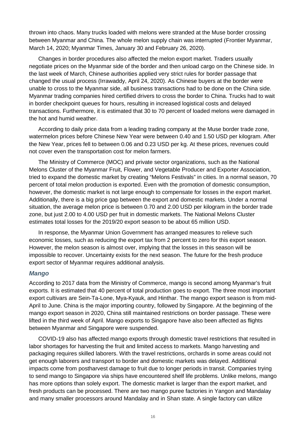thrown into chaos. Many trucks loaded with melons were stranded at the Muse border crossing between Myanmar and China. The whole melon supply chain was interrupted (Frontier Myanmar, March 14, 2020; Myanmar Times, January 30 and February 26, 2020).

Changes in border procedures also affected the melon export market. Traders usually negotiate prices on the Myanmar side of the border and then unload cargo on the Chinese side. In the last week of March, Chinese authorities applied very strict rules for border passage that changed the usual process (Irrawaddy, April 24, 2020). As Chinese buyers at the border were unable to cross to the Myanmar side, all business transactions had to be done on the China side. Myanmar trading companies hired certified drivers to cross the border to China. Trucks had to wait in border checkpoint queues for hours, resulting in increased logistical costs and delayed transactions. Furthermore, it is estimated that 30 to 70 percent of loaded melons were damaged in the hot and humid weather.

According to daily price data from a leading trading company at the Muse border trade zone, watermelon prices before Chinese New Year were between 0.40 and 1.50 USD per kilogram. After the New Year, prices fell to between 0.06 and 0.23 USD per kg. At these prices, revenues could not cover even the transportation cost for melon farmers.

The Ministry of Commerce (MOC) and private sector organizations, such as the National Melons Cluster of the Myanmar Fruit, Flower, and Vegetable Producer and Exporter Association, tried to expand the domestic market by creating "Melons Festivals" in cities. In a normal season, 70 percent of total melon production is exported. Even with the promotion of domestic consumption, however, the domestic market is not large enough to compensate for losses in the export market. Additionally, there is a big price gap between the export and domestic markets. Under a normal situation, the average melon price is between 0.70 and 2.00 USD per kilogram in the border trade zone, but just 2.00 to 4.00 USD per fruit in domestic markets. The National Melons Cluster estimates total losses for the 2019/20 export season to be about 65 million USD.

In response, the Myanmar Union Government has arranged measures to relieve such economic losses, such as reducing the export tax from 2 percent to zero for this export season. However, the melon season is almost over, implying that the losses in this season will be impossible to recover. Uncertainty exists for the next season. The future for the fresh produce export sector of Myanmar requires additional analysis.

#### *Mango*

According to 2017 data from the Ministry of Commerce, mango is second among Myanmar's fruit exports. It is estimated that 40 percent of total production goes to export. The three most important export cultivars are Sein-Ta-Lone, Mya-Kyauk, and Hinthar. The mango export season is from mid-April to June. China is the major importing country, followed by Singapore. At the beginning of the mango export season in 2020, China still maintained restrictions on border passage. These were lifted in the third week of April. Mango exports to Singapore have also been affected as flights between Myanmar and Singapore were suspended.

COVID-19 also has affected mango exports through domestic travel restrictions that resulted in labor shortages for harvesting the fruit and limited access to markets. Mango harvesting and packaging requires skilled laborers. With the travel restrictions, orchards in some areas could not get enough laborers and transport to border and domestic markets was delayed. Additional impacts come from postharvest damage to fruit due to longer periods in transit. Companies trying to send mango to Singapore via ships have encountered shelf life problems. Unlike melons, mango has more options than solely export. The domestic market is larger than the export market, and fresh products can be processed. There are two mango puree factories in Yangon and Mandalay and many smaller processors around Mandalay and in Shan state. A single factory can utilize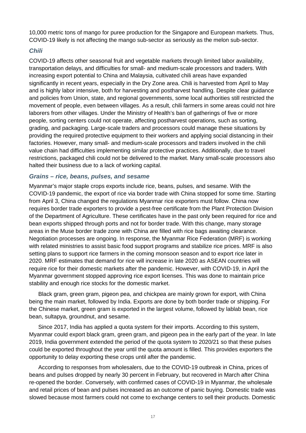10,000 metric tons of mango for puree production for the Singapore and European markets. Thus, COVID-19 likely is not affecting the mango sub-sector as seriously as the melon sub-sector.

#### *Chili*

COVID-19 affects other seasonal fruit and vegetable markets through limited labor availability, transportation delays, and difficulties for small- and medium-scale processors and traders. With increasing export potential to China and Malaysia, cultivated chili areas have expanded significantly in recent years, especially in the Dry Zone area. Chili is harvested from April to May and is highly labor intensive, both for harvesting and postharvest handling. Despite clear guidance and policies from Union, state, and regional governments, some local authorities still restricted the movement of people, even between villages. As a result, chili farmers in some areas could not hire laborers from other villages. Under the Ministry of Health's ban of gatherings of five or more people, sorting centers could not operate, affecting postharvest operations, such as sorting, grading, and packaging. Large-scale traders and processors could manage these situations by providing the required protective equipment to their workers and applying social distancing in their factories. However, many small- and medium-scale processors and traders involved in the chili value chain had difficulties implementing similar protective practices. Additionally, due to travel restrictions, packaged chili could not be delivered to the market. Many small-scale processors also halted their business due to a lack of working capital.

#### *Grains – rice, beans, pulses, and sesame*

Myanmar's major staple crops exports include rice, beans, pulses, and sesame. With the COVID-19 pandemic, the export of rice via border trade with China stopped for some time. Starting from April 3, China changed the regulations Myanmar rice exporters must follow. China now requires border trade exporters to provide a pest-free certificate from the Plant Protection Division of the Department of Agriculture. These certificates have in the past only been required for rice and bean exports shipped through ports and not for border trade. With this change, many storage areas in the Muse border trade zone with China are filled with rice bags awaiting clearance. Negotiation processes are ongoing. In response, the Myanmar Rice Federation (MRF) is working with related ministries to assist basic food support programs and stabilize rice prices. MRF is also setting plans to support rice farmers in the coming monsoon season and to export rice later in 2020. MRF estimates that demand for rice will increase in late 2020 as ASEAN countries will require rice for their domestic markets after the pandemic. However, with COVID-19, in April the Myanmar government stopped approving rice export licenses. This was done to maintain price stability and enough rice stocks for the domestic market.

Black gram, green gram, pigeon pea, and chickpea are mainly grown for export, with China being the main market, followed by India. Exports are done by both border trade or shipping. For the Chinese market, green gram is exported in the largest volume, followed by lablab bean, rice bean, sultapya, groundnut, and sesame.

Since 2017, India has applied a quota system for their imports. According to this system, Myanmar could export black gram, green gram, and pigeon pea in the early part of the year. In late 2019, India government extended the period of the quota system to 2020/21 so that these pulses could be exported throughout the year until the quota amount is filled. This provides exporters the opportunity to delay exporting these crops until after the pandemic.

According to responses from wholesalers, due to the COVID-19 outbreak in China, prices of beans and pulses dropped by nearly 30 percent in February, but recovered in March after China re-opened the border. Conversely, with confirmed cases of COVID-19 in Myanmar, the wholesale and retail prices of bean and pulses increased as an outcome of panic buying. Domestic trade was slowed because most farmers could not come to exchange centers to sell their products. Domestic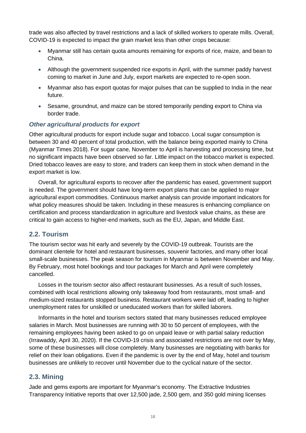trade was also affected by travel restrictions and a lack of skilled workers to operate mills. Overall, COVID-19 is expected to impact the grain market less than other crops because:

- Myanmar still has certain quota amounts remaining for exports of rice, maize, and bean to China.
- Although the government suspended rice exports in April, with the summer paddy harvest coming to market in June and July, export markets are expected to re-open soon.
- Myanmar also has export quotas for major pulses that can be supplied to India in the near future.
- Sesame, groundnut, and maize can be stored temporarily pending export to China via border trade.

#### *Other agricultural products for export*

Other agricultural products for export include sugar and tobacco. Local sugar consumption is between 30 and 40 percent of total production, with the balance being exported mainly to China (Myanmar Times 2018). For sugar cane, November to April is harvesting and processing time, but no significant impacts have been observed so far. Little impact on the tobacco market is expected. Dried tobacco leaves are easy to store, and traders can keep them in stock when demand in the export market is low.

Overall, for agricultural exports to recover after the pandemic has eased, government support is needed. The government should have long-term export plans that can be applied to major agricultural export commodities. Continuous market analysis can provide important indicators for what policy measures should be taken. Including in these measures is enhancing compliance on certification and process standardization in agriculture and livestock value chains, as these are critical to gain access to higher-end markets, such as the EU, Japan, and Middle East.

#### <span id="page-21-0"></span>**2.2. Tourism**

The tourism sector was hit early and severely by the COVID-19 outbreak. Tourists are the dominant clientele for hotel and restaurant businesses, souvenir factories, and many other local small-scale businesses. The peak season for tourism in Myanmar is between November and May. By February, most hotel bookings and tour packages for March and April were completely cancelled.

Losses in the tourism sector also affect restaurant businesses. As a result of such losses, combined with local restrictions allowing only takeaway food from restaurants, most small- and medium-sized restaurants stopped business. Restaurant workers were laid off, leading to higher unemployment rates for unskilled or uneducated workers than for skilled laborers.

Informants in the hotel and tourism sectors stated that many businesses reduced employee salaries in March. Most businesses are running with 30 to 50 percent of employees, with the remaining employees having been asked to go on unpaid leave or with partial salary reduction (Irrawaddy, April 30, 2020). If the COVID-19 crisis and associated restrictions are not over by May, some of these businesses will close completely. Many businesses are negotiating with banks for relief on their loan obligations. Even if the pandemic is over by the end of May, hotel and tourism businesses are unlikely to recover until November due to the cyclical nature of the sector.

#### <span id="page-21-1"></span>**2.3. Mining**

Jade and gems exports are important for Myanmar's economy. The Extractive Industries Transparency Initiative reports that over 12,500 jade, 2,500 gem, and 350 gold mining licenses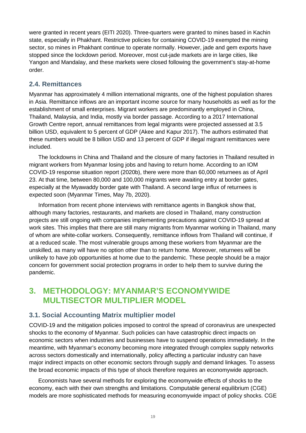were granted in recent years (EITI 2020). Three-quarters were granted to mines based in Kachin state, especially in Phakhant. Restrictive policies for containing COVID-19 exempted the mining sector, so mines in Phakhant continue to operate normally. However, jade and gem exports have stopped since the lockdown period. Moreover, most cut-jade markets are in large cities, like Yangon and Mandalay, and these markets were closed following the government's stay-at-home order.

#### <span id="page-22-0"></span>**2.4. Remittances**

Myanmar has approximately 4 million international migrants, one of the highest population shares in Asia. Remittance inflows are an important income source for many households as well as for the establishment of small enterprises. Migrant workers are predominantly employed in China, Thailand, Malaysia, and India, mostly via border passage. According to a 2017 International Growth Centre report, annual remittances from legal migrants were projected assessed at 3.5 billion USD, equivalent to 5 percent of GDP (Akee and Kapur 2017). The authors estimated that these numbers would be 8 billion USD and 13 percent of GDP if illegal migrant remittances were included.

The lockdowns in China and Thailand and the closure of many factories in Thailand resulted in migrant workers from Myanmar losing jobs and having to return home. According to an IOM COVID-19 response situation report (2020b), there were more than 60,000 returnees as of April 23. At that time, between 80,000 and 100,000 migrants were awaiting entry at border gates, especially at the Myawaddy border gate with Thailand. A second large influx of returnees is expected soon (Myanmar Times, May 7b, 2020).

Information from recent phone interviews with remittance agents in Bangkok show that, although many factories, restaurants, and markets are closed in Thailand, many construction projects are still ongoing with companies implementing precautions against COVID-19 spread at work sites. This implies that there are still many migrants from Myanmar working in Thailand, many of whom are white-collar workers. Consequently, remittance inflows from Thailand will continue, if at a reduced scale. The most vulnerable groups among these workers from Myanmar are the unskilled, as many will have no option other than to return home. Moreover, returnees will be unlikely to have job opportunities at home due to the pandemic. These people should be a major concern for government social protection programs in order to help them to survive during the pandemic.

## <span id="page-22-1"></span>**3. METHODOLOGY: MYANMAR'S ECONOMYWIDE MULTISECTOR MULTIPLIER MODEL**

#### <span id="page-22-2"></span>**3.1. Social Accounting Matrix multiplier model**

COVID-19 and the mitigation policies imposed to control the spread of coronavirus are unexpected shocks to the economy of Myanmar. Such policies can have catastrophic direct impacts on economic sectors when industries and businesses have to suspend operations immediately. In the meantime, with Myanmar's economy becoming more integrated through complex supply networks across sectors domestically and internationally, policy affecting a particular industry can have major indirect impacts on other economic sectors through supply and demand linkages. To assess the broad economic impacts of this type of shock therefore requires an economywide approach.

Economists have several methods for exploring the economywide effects of shocks to the economy, each with their own strengths and limitations. Computable general equilibrium (CGE) models are more sophisticated methods for measuring economywide impact of policy shocks. CGE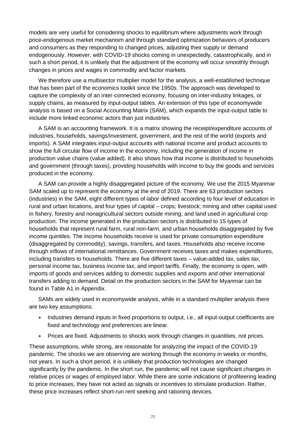models are very useful for considering shocks to equilibrium where adjustments work through price-endogenous market mechanism and through standard optimization behaviors of producers and consumers as they responding to changed prices, adjusting their supply or demand endogenously. However, with COVID-19 shocks coming in unexpectedly, catastrophically, and in such a short period, it is unlikely that the adjustment of the economy will occur smoothly through changes in prices and wages in commodity and factor markets.

We therefore use a multisector multiplier model for the analysis, a well-established technique that has been part of the economics toolkit since the 1950s. The approach was developed to capture the complexity of an inter-connected economy, focusing on inter-industry linkages, or supply chains, as measured by input-output tables. An extension of this type of economywide analysis is based on a Social Accounting Matrix (SAM), which expands the input-output table to include more linked economic actors than just industries.

A SAM is an accounting framework. It is a matrix showing the receipt/expenditure accounts of industries, households, savings/investment, government, and the rest of the world (exports and imports). A SAM integrates input-output accounts with national income and product accounts to show the full circular flow of income in the economy, including the generation of income in production value chains (value added). It also shows how that income is distributed to households and government (through taxes), providing households with income to buy the goods and services produced in the economy.

A SAM can provide a highly disaggregated picture of the economy. We use the 2015 Myanmar SAM scaled up to represent the economy at the end of 2019. There are 63 production sectors (industries) in the SAM, eight different types of labor defined according to four level of education in rural and urban locations, and four types of capital – crops; livestock; mining and other capital used in fishery, forestry and nonagricultural sectors outside mining; and land used in agricultural crop production. The income generated in the production sectors is distributed to 15 types of households that represent rural farm, rural non-farm, and urban households disaggregated by five income quintiles. The income households receive is used for private consumption expenditure (disaggregated by commodity), savings, transfers, and taxes. Households also receive income through inflows of international remittances. Government receives taxes and makes expenditures, including transfers to households. There are five different taxes – value-added tax, sales tax, personal income tax, business income tax, and import tariffs. Finally, the economy is open, with imports of goods and services adding to domestic supplies and exports and other international transfers adding to demand. Detail on the production sectors in the SAM for Myanmar can be found in Table A1 in Appendix.

SAMs are widely used in economywide analysis, while in a standard multiplier analysis there are two key assumptions:

- Industries demand inputs in fixed proportions to output, i.e., all input-output coefficients are fixed and technology and preferences are linear.
- Prices are fixed. Adjustments to shocks work through changes in quantities, not prices.

These assumptions, while strong, are reasonable for analyzing the impact of the COVID-19 pandemic. The shocks we are observing are working through the economy in weeks or months, not years. In such a short period, it is unlikely that production technologies are changed significantly by the pandemic. In the short run, the pandemic will not cause significant changes in relative prices or wages of employed labor. While there are some indications of profiteering leading to price increases, they have not acted as signals or incentives to stimulate production. Rather, these price increases reflect short-run rent seeking and rationing devices.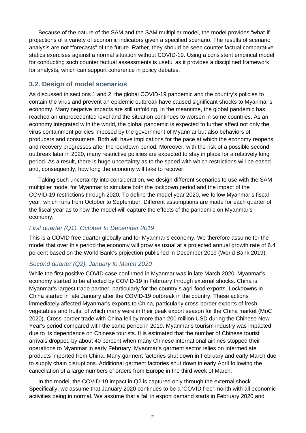Because of the nature of the SAM and the SAM multiplier model, the model provides "what-if" projections of a variety of economic indicators given a specified scenario. The results of scenario analysis are not "forecasts" of the future. Rather, they should be seen counter factual comparative statics exercises against a normal situation without COVID-19. Using a consistent empirical model for conducting such counter factual assessments is useful as it provides a disciplined framework for analysts, which can support coherence in policy debates.

#### <span id="page-24-0"></span>**3.2. Design of model scenarios**

As discussed in sections 1 and 2, the global COVID-19 pandemic and the country's policies to contain the virus and prevent an epidemic outbreak have caused significant shocks to Myanmar's economy. Many negative impacts are still unfolding. In the meantime, the global pandemic has reached an unprecedented level and the situation continues to worsen in some countries. As an economy integrated with the world, the global pandemic is expected to further affect not only the virus containment policies imposed by the government of Myanmar but also behaviors of producers and consumers. Both will have implications for the pace at which the economy reopens and recovery progresses after the lockdown period. Moreover, with the risk of a possible second outbreak later in 2020, many restrictive policies are expected to stay in place for a relatively long period. As a result, there is huge uncertainty as to the speed with which restrictions will be eased and, consequently, how long the economy will take to recover.

Taking such uncertainty into consideration, we design different scenarios to use with the SAM multiplier model for Myanmar to simulate both the lockdown period and the impact of the COVID-19 restrictions through 2020. To define the model year 2020, we follow Myanmar's fiscal year, which runs from October to September. Different assumptions are made for each quarter of the fiscal year as to how the model will capture the effects of the pandemic on Myanmar's economy.

#### *First quarter (Q1), October to December 2019*

This is a COVID free quarter globally and for Myanmar's economy. We therefore assume for the model that over this period the economy will grow as usual at a projected annual growth rate of 6.4 percent based on the World Bank's projection published in December 2019 (World Bank 2019).

#### *Second quarter (Q2), January to March 2020*

While the first positive COVID case confirmed in Myanmar was in late March 2020, Myanmar's economy started to be affected by COVID-19 in February through external shocks. China is Myanmar's largest trade partner, particularly for the country's agri-food exports. Lockdowns in China started in late January after the COVID-19 outbreak in the country. These actions immediately affected Myanmar's exports to China, particularly cross-border exports of fresh vegetables and fruits, of which many were in their peak export season for the China market (MoC 2020). Cross-border trade with China fell by more than 200 million USD during the Chinese New Year's period compared with the same period in 2019. Myanmar's tourism industry was impacted due to its dependence on Chinese tourists. It is estimated that the number of Chinese tourist arrivals dropped by about 40 percent when many Chinese international airlines stopped their operations to Myanmar in early February. Myanmar's garment sector relies on intermediate products imported from China. Many garment factories shut down in February and early March due to supply chain disruptions. Additional garment factories shut down in early April following the cancellation of a large numbers of orders from Europe in the third week of March.

In the model, the COVID-19 impact in Q2 is captured only through the external shock. Specifically, we assume that January 2020 continues to be a 'COVID free' month with all economic activities being in normal. We assume that a fall in export demand starts in February 2020 and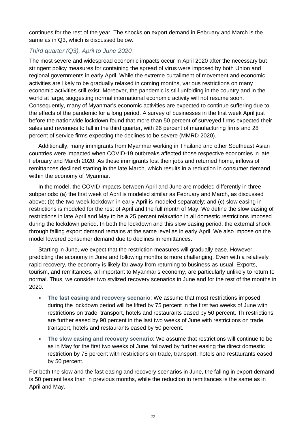continues for the rest of the year. The shocks on export demand in February and March is the same as in Q3, which is discussed below.

### *Third quarter (Q3), April to June 2020*

The most severe and widespread economic impacts occur in April 2020 after the necessary but stringent policy measures for containing the spread of virus were imposed by both Union and regional governments in early April. While the extreme curtailment of movement and economic activities are likely to be gradually relaxed in coming months, various restrictions on many economic activities still exist. Moreover, the pandemic is still unfolding in the country and in the world at large, suggesting normal international economic activity will not resume soon. Consequently, many of Myanmar's economic activities are expected to continue suffering due to the effects of the pandemic for a long period. A survey of businesses in the first week April just before the nationwide lockdown found that more than 50 percent of surveyed firms expected their sales and revenues to fall in the third quarter, with 26 percent of manufacturing firms and 28 percent of service firms expecting the declines to be severe (MMRD 2020).

Additionally, many immigrants from Myanmar working in Thailand and other Southeast Asian countries were impacted when COVID-19 outbreaks affected those respective economies in late February and March 2020. As these immigrants lost their jobs and returned home, inflows of remittances declined starting in the late March, which results in a reduction in consumer demand within the economy of Myanmar.

In the model, the COVID impacts between April and June are modeled differently in three subperiods: (a) the first week of April is modeled similar as February and March, as discussed above; (b) the two-week lockdown in early April is modeled separately; and (c) slow easing in restrictions is modeled for the rest of April and the full month of May. We define the slow easing of restrictions in late April and May to be a 25 percent relaxation in all domestic restrictions imposed during the lockdown period. In both the lockdown and this slow easing period, the external shock through falling export demand remains at the same level as in early April. We also impose on the model lowered consumer demand due to declines in remittances.

Starting in June, we expect that the restriction measures will gradually ease. However, predicting the economy in June and following months is more challenging. Even with a relatively rapid recovery, the economy is likely far away from returning to business-as-usual. Exports, tourism, and remittances, all important to Myanmar's economy, are particularly unlikely to return to normal. Thus, we consider two stylized recovery scenarios in June and for the rest of the months in 2020.

- **The fast easing and recovery scenario**: We assume that most restrictions imposed during the lockdown period will be lifted by 75 percent in the first two weeks of June with restrictions on trade, transport, hotels and restaurants eased by 50 percent. Th restrictions are further eased by 90 percent in the last two weeks of June with restrictions on trade, transport, hotels and restaurants eased by 50 percent.
- **The slow easing and recovery scenario**: We assume that restrictions will continue to be as in May for the first two weeks of June, followed by further easing the direct domestic restriction by 75 percent with restrictions on trade, transport, hotels and restaurants eased by 50 percent.

For both the slow and the fast easing and recovery scenarios in June, the falling in export demand is 50 percent less than in previous months, while the reduction in remittances is the same as in April and May.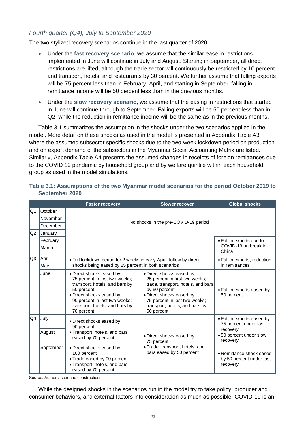#### *Fourth quarter (Q4), July to September 2020*

The two stylized recovery scenarios continue in the last quarter of 2020.

- Under the **fast recovery scenario**, we assume that the similar ease in restrictions implemented in June will continue in July and August. Starting in September, all direct restrictions are lifted, although the trade sector will continuously be restricted by 10 percent and transport, hotels, and restaurants by 30 percent. We further assume that falling exports will be 75 percent less than in February–April, and starting in September, falling in remittance income will be 50 percent less than in the previous months.
- Under the **slow recovery scenario**, we assume that the easing in restrictions that started in June will continue through to September. Falling exports will be 50 percent less than in Q2, while the reduction in remittance income will be the same as in the previous months.

Table 3.1 summarizes the assumption in the shocks under the two scenarios applied in the model. More detail on these shocks as used in the model is presented in Appendix Table A3, where the assumed subsector specific shocks due to the two-week lockdown period on production and on export demand of the subsectors in the Myanmar Social Accounting Matrix are listed. Similarly, Appendix Table A4 presents the assumed changes in receipts of foreign remittances due to the COVID 19 pandemic by household group and by welfare quintile within each household group as used in the model simulations.

|          |                                                   | <b>Faster recovery</b>                                                                                                                                                                                                  | <b>Slower recover</b>                                                                                                                                                                                                          | <b>Global shocks</b>                                                                                  |
|----------|---------------------------------------------------|-------------------------------------------------------------------------------------------------------------------------------------------------------------------------------------------------------------------------|--------------------------------------------------------------------------------------------------------------------------------------------------------------------------------------------------------------------------------|-------------------------------------------------------------------------------------------------------|
| Q1<br>Q2 | <b>October</b><br>November<br>December<br>January | No shocks in the pre-COVID-19 period                                                                                                                                                                                    |                                                                                                                                                                                                                                |                                                                                                       |
|          | February<br>March                                 |                                                                                                                                                                                                                         |                                                                                                                                                                                                                                | • Fall in exports due to<br>COVID-19 outbreak in<br>China                                             |
| Q3       | April<br>May                                      | • Full lockdown period for 2 weeks in early-April, follow by direct<br>shocks being eased by 25 percent in both scenarios                                                                                               | • Fall in exports, reduction<br>in remittances                                                                                                                                                                                 |                                                                                                       |
|          | June                                              | · Direct shocks eased by<br>75 percent in first two weeks;<br>transport, hotels, and bars by<br>50 percent<br>• Direct shocks eased by<br>90 percent in last two weeks;<br>transport, hotels, and bars by<br>70 percent | · Direct shocks eased by<br>25 percent in first two weeks;<br>trade, transport, hotels, and bars<br>by 50 percent<br>· Direct shocks eased by<br>75 percent in last two weeks;<br>transport, hotels, and bars by<br>50 percent | • Fall in exports eased by<br>50 percent                                                              |
| Q4       | July<br>August                                    | • Direct shocks eased by<br>90 percent<br>• Transport, hotels, and bars<br>eased by 70 percent                                                                                                                          | • Direct shocks eased by<br>75 percent                                                                                                                                                                                         | . Fall in exports eased by<br>75 percent under fast<br>recovery<br>•50 percent under slow<br>recovery |
|          | September                                         | · Direct shocks eased by<br>100 percent<br>• Trade eased by 90 percent<br>· Transport, hotels, and bars<br>eased by 70 percent                                                                                          | • Trade, transport, hotels, and<br>bars eased by 50 percent                                                                                                                                                                    | • Remittance shock eased<br>by 50 percent under fast<br>recovery                                      |

#### <span id="page-26-0"></span>**Table 3.1: Assumptions of the two Myanmar model scenarios for the period October 2019 to September 2020**

Source: Authors' scenario construction.

While the designed shocks in the scenarios run in the model try to take policy, producer and consumer behaviors, and external factors into consideration as much as possible, COVID-19 is an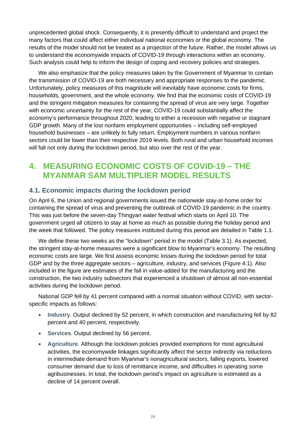unprecedented global shock. Consequently, it is presently difficult to understand and project the many factors that could affect either individual national economies or the global economy. The results of the model should not be treated as a projection of the future. Rather, the model allows us to understand the economywide impacts of COVID-19 through interactions within an economy. Such analysis could help to inform the design of coping and recovery policies and strategies.

We also emphasize that the policy measures taken by the Government of Myanmar to contain the transmission of COVID-19 are both necessary and appropriate responses to the pandemic. Unfortunately, policy measures of this magnitude will inevitably have economic costs for firms, households, government, and the whole economy. We find that the economic costs of COVID-19 and the stringent mitigation measures for containing the spread of virus are very large. Together with economic uncertainty for the rest of the year, COVID-19 could substantially affect the economy's performance throughout 2020, leading to either a recession with negative or stagnant GDP growth. Many of the lost nonfarm employment opportunities – including self-employed household businesses – are unlikely to fully return. Employment numbers in various nonfarm sectors could be lower than their respective 2019 levels. Both rural and urban household incomes will fall not only during the lockdown period, but also over the rest of the year.

## <span id="page-27-0"></span>**4. MEASURING ECONOMIC COSTS OF COVID-19 – THE MYANMAR SAM MULTIPLIER MODEL RESULTS**

#### <span id="page-27-1"></span>**4.1. Economic impacts during the lockdown period**

On April 6, the Union and regional governments issued the nationwide stay-at-home order for containing the spread of virus and preventing the outbreak of COVID-19 pandemic in the country. This was just before the seven-day Thingyan water festival which starts on April 10. The government urged all citizens to stay at home as much as possible during the holiday period and the week that followed. The policy measures instituted during this period are detailed in Table 1.1.

We define these two weeks as the "lockdown" period in the model (Table 3.1). As expected, the stringent stay-at-home measures were a significant blow to Myanmar's economy. The resulting economic costs are large. We first assess economic losses during the lockdown period for total GDP and by the three aggregate sectors – agriculture, industry, and services (Figure 4.1). Also included in the figure are estimates of the fall in value-added for the manufacturing and the construction, the two industry subsectors that experienced a shutdown of almost all non-essential activities during the lockdown period.

National GDP fell by 41 percent compared with a normal situation without COVID, with sectorspecific impacts as follows:

- **Industry**. Output declined by 52 percent, in which construction and manufacturing fell by 82 percent and 40 percent, respectively.
- **Services**. Output declined by 56 percent.
- **Agriculture**. Although the lockdown policies provided exemptions for most agricultural activities, the economywide linkages significantly affect the sector indirectly via reductions in intermediate demand from Myanmar's nonagricultural sectors, falling exports, lowered consumer demand due to loss of remittance income, and difficulties in operating some agribusinesses. In total, the lockdown period's impact on agriculture is estimated as a decline of 14 percent overall.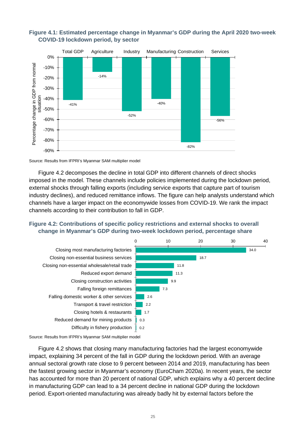

<span id="page-28-0"></span>

Source: Results from IFPRI's Myanmar SAM multiplier model

Figure 4.2 decomposes the decline in total GDP into different channels of direct shocks imposed in the model. These channels include policies implemented during the lockdown period, external shocks through falling exports (including service exports that capture part of tourism industry declines), and reduced remittance inflows. The figure can help analysts understand which channels have a larger impact on the economywide losses from COVID-19. We rank the impact channels according to their contribution to fall in GDP.

#### <span id="page-28-1"></span>**Figure 4.2: Contributions of specific policy restrictions and external shocks to overall change in Myanmar's GDP during two-week lockdown period, percentage share**



Source: Results from IFPRI's Myanmar SAM multiplier model

Figure 4.2 shows that closing many manufacturing factories had the largest economywide impact, explaining 34 percent of the fall in GDP during the lockdown period. With an average annual sectoral growth rate close to 9 percent between 2014 and 2019, manufacturing has been the fastest growing sector in Myanmar's economy (EuroCham 2020a). In recent years, the sector has accounted for more than 20 percent of national GDP, which explains why a 40 percent decline in manufacturing GDP can lead to a 34 percent decline in national GDP during the lockdown period. Export-oriented manufacturing was already badly hit by external factors before the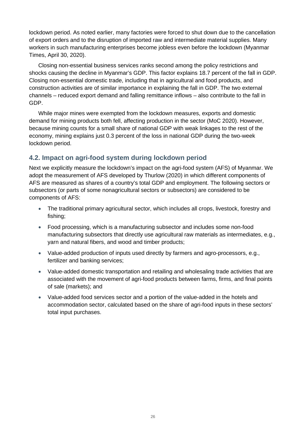lockdown period. As noted earlier, many factories were forced to shut down due to the cancellation of export orders and to the disruption of imported raw and intermediate material supplies. Many workers in such manufacturing enterprises become jobless even before the lockdown (Myanmar Times, April 30, 2020).

Closing non-essential business services ranks second among the policy restrictions and shocks causing the decline in Myanmar's GDP. This factor explains 18.7 percent of the fall in GDP. Closing non-essential domestic trade, including that in agricultural and food products, and construction activities are of similar importance in explaining the fall in GDP. The two external channels – reduced export demand and falling remittance inflows – also contribute to the fall in GDP.

While major mines were exempted from the lockdown measures, exports and domestic demand for mining products both fell, affecting production in the sector (MoC 2020). However, because mining counts for a small share of national GDP with weak linkages to the rest of the economy, mining explains just 0.3 percent of the loss in national GDP during the two-week lockdown period.

#### <span id="page-29-0"></span>**4.2. Impact on agri-food system during lockdown period**

Next we explicitly measure the lockdown's impact on the agri-food system (AFS) of Myanmar. We adopt the measurement of AFS developed by Thurlow (2020) in which different components of AFS are measured as shares of a country's total GDP and employment. The following sectors or subsectors (or parts of some nonagricultural sectors or subsectors) are considered to be components of AFS:

- The traditional primary agricultural sector, which includes all crops, livestock, forestry and fishing;
- Food processing, which is a manufacturing subsector and includes some non-food manufacturing subsectors that directly use agricultural raw materials as intermediates, e.g., yarn and natural fibers, and wood and timber products;
- Value-added production of inputs used directly by farmers and agro-processors, e.g., fertilizer and banking services;
- Value-added domestic transportation and retailing and wholesaling trade activities that are associated with the movement of agri-food products between farms, firms, and final points of sale (markets); and
- Value-added food services sector and a portion of the value-added in the hotels and accommodation sector, calculated based on the share of agri-food inputs in these sectors' total input purchases.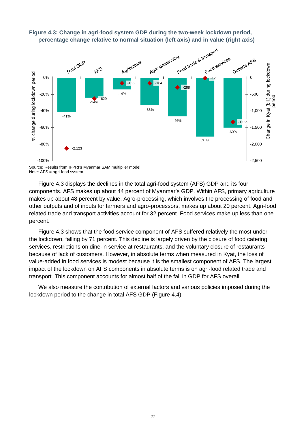

# <span id="page-30-0"></span>**Figure 4.3: Change in agri-food system GDP during the two-week lockdown period,**

Source: Results from IFPRI's Myanmar SAM multiplier model. Note: AFS = agri-food system.

Figure 4.3 displays the declines in the total agri-food system (AFS) GDP and its four components. AFS makes up about 44 percent of Myanmar's GDP. Within AFS, primary agriculture makes up about 48 percent by value. Agro-processing, which involves the processing of food and other outputs and of inputs for farmers and agro-processors, makes up about 20 percent. Agri-food related trade and transport activities account for 32 percent. Food services make up less than one percent.

Figure 4.3 shows that the food service component of AFS suffered relatively the most under the lockdown, falling by 71 percent. This decline is largely driven by the closure of food catering services, restrictions on dine-in service at restaurants, and the voluntary closure of restaurants because of lack of customers. However, in absolute terms when measured in Kyat, the loss of value-added in food services is modest because it is the smallest component of AFS. The largest impact of the lockdown on AFS components in absolute terms is on agri-food related trade and transport. This component accounts for almost half of the fall in GDP for AFS overall.

We also measure the contribution of external factors and various policies imposed during the lockdown period to the change in total AFS GDP (Figure 4.4).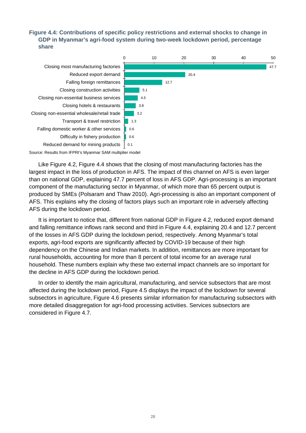#### <span id="page-31-0"></span>**Figure 4.4: Contributions of specific policy restrictions and external shocks to change in GDP in Myanmar's agri-food system during two-week lockdown period, percentage share**



Source: Results from IFPRI's Myanmar SAM multiplier model

Like Figure 4.2, Figure 4.4 shows that the closing of most manufacturing factories has the largest impact in the loss of production in AFS. The impact of this channel on AFS is even larger than on national GDP, explaining 47.7 percent of loss in AFS GDP. Agri-processing is an important component of the manufacturing sector in Myanmar, of which more than 65 percent output is produced by SMEs (Polsaram and Thaw 2010). Agri-processing is also an important component of AFS. This explains why the closing of factors plays such an important role in adversely affecting AFS during the lockdown period.

It is important to notice that, different from national GDP in Figure 4.2, reduced export demand and falling remittance inflows rank second and third in Figure 4.4, explaining 20.4 and 12.7 percent of the losses in AFS GDP during the lockdown period, respectively. Among Myanmar's total exports, agri-food exports are significantly affected by COVID-19 because of their high dependency on the Chinese and Indian markets. In addition, remittances are more important for rural households, accounting for more than 8 percent of total income for an average rural household. These numbers explain why these two external impact channels are so important for the decline in AFS GDP during the lockdown period.

In order to identify the main agricultural, manufacturing, and service subsectors that are most affected during the lockdown period, Figure 4.5 displays the impact of the lockdown for several subsectors in agriculture, Figure 4.6 presents similar information for manufacturing subsectors with more detailed disaggregation for agri-food processing activities. Services subsectors are considered in Figure 4.7.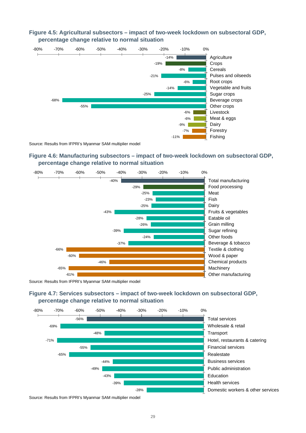

#### <span id="page-32-0"></span>**Figure 4.5: Agricultural subsectors – impact of two-week lockdown on subsectoral GDP, percentage change relative to normal situation**

Source: Results from IFPRI's Myanmar SAM multiplier model

#### <span id="page-32-1"></span>**Figure 4.6: Manufacturing subsectors – impact of two-week lockdown on subsectoral GDP, percentage change relative to normal situation**



Source: Results from IFPRI's Myanmar SAM multiplier model

<span id="page-32-2"></span>



Source: Results from IFPRI's Myanmar SAM multiplier model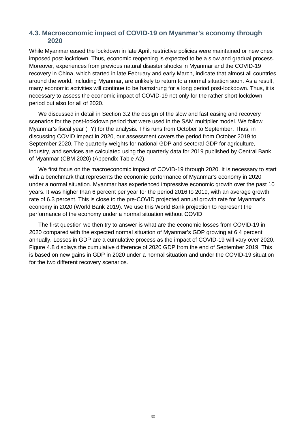#### <span id="page-33-0"></span>**4.3. Macroeconomic impact of COVID-19 on Myanmar's economy through 2020**

While Myanmar eased the lockdown in late April, restrictive policies were maintained or new ones imposed post-lockdown. Thus, economic reopening is expected to be a slow and gradual process. Moreover, experiences from previous natural disaster shocks in Myanmar and the COVID-19 recovery in China, which started in late February and early March, indicate that almost all countries around the world, including Myanmar, are unlikely to return to a normal situation soon. As a result, many economic activities will continue to be hamstrung for a long period post-lockdown. Thus, it is necessary to assess the economic impact of COVID-19 not only for the rather short lockdown period but also for all of 2020.

We discussed in detail in Section 3.2 the design of the slow and fast easing and recovery scenarios for the post-lockdown period that were used in the SAM multiplier model. We follow Myanmar's fiscal year (FY) for the analysis. This runs from October to September. Thus, in discussing COVID impact in 2020, our assessment covers the period from October 2019 to September 2020. The quarterly weights for national GDP and sectoral GDP for agriculture, industry, and services are calculated using the quarterly data for 2019 published by Central Bank of Myanmar (CBM 2020) (Appendix Table A2).

We first focus on the macroeconomic impact of COVID-19 through 2020. It is necessary to start with a benchmark that represents the economic performance of Myanmar's economy in 2020 under a normal situation. Myanmar has experienced impressive economic growth over the past 10 years. It was higher than 6 percent per year for the period 2016 to 2019, with an average growth rate of 6.3 percent. This is close to the pre-COVID projected annual growth rate for Myanmar's economy in 2020 (World Bank 2019). We use this World Bank projection to represent the performance of the economy under a normal situation without COVID.

The first question we then try to answer is what are the economic losses from COVID-19 in 2020 compared with the expected normal situation of Myanmar's GDP growing at 6.4 percent annually. Losses in GDP are a cumulative process as the impact of COVID-19 will vary over 2020. Figure 4.8 displays the cumulative difference of 2020 GDP from the end of September 2019. This is based on new gains in GDP in 2020 under a normal situation and under the COVID-19 situation for the two different recovery scenarios.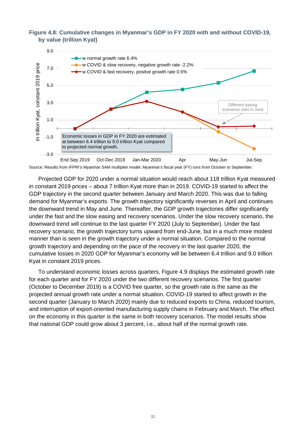#### <span id="page-34-0"></span>**Figure 4.8: Cumulative changes in Myanmar's GDP in FY 2020 with and without COVID-19, by value (trillion Kyat)**



Source: Results from IFPRI's Myanmar SAM multiplier model. Myanmar's fiscal year (FY) runs from October to September.

Projected GDP for 2020 under a normal situation would reach about 118 trillion Kyat measured in constant 2019 prices – about 7 trillion Kyat more than in 2019. COVID-19 started to affect the GDP trajectory in the second quarter between January and March 2020. This was due to falling demand for Myanmar's exports. The growth trajectory significantly reverses in April and continues the downward trend in May and June. Thereafter, the GDP growth trajectories differ significantly under the fast and the slow easing and recovery scenarios. Under the slow recovery scenario, the downward trend will continue to the last quarter FY 2020 (July to September). Under the fast recovery scenario, the growth trajectory turns upward from end-June, but in a much more modest manner than is seen in the growth trajectory under a normal situation. Compared to the normal growth trajectory and depending on the pace of the recovery in the last quarter 2020, the cumulative losses in 2020 GDP for Myanmar's economy will be between 6.4 trillion and 9.0 trillion Kyat in constant 2019 prices.

To understand economic losses across quarters, Figure 4.9 displays the estimated growth rate for each quarter and for FY 2020 under the two different recovery scenarios. The first quarter (October to December 2019) is a COVID free quarter, so the growth rate is the same as the projected annual growth rate under a normal situation. COVID-19 started to affect growth in the second quarter (January to March 2020) mainly due to reduced exports to China, reduced tourism, and interruption of export-oriented manufacturing supply chains in February and March. The effect on the economy in this quarter is the same in both recovery scenarios. The model results show that national GDP could grow about 3 percent, i.e., about half of the normal growth rate.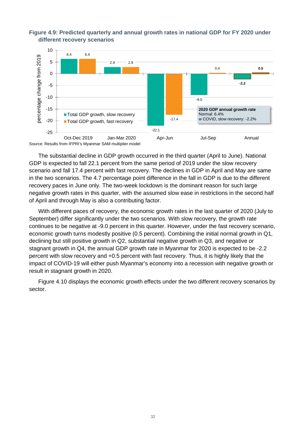

#### <span id="page-35-0"></span>**Figure 4.9: Predicted quarterly and annual growth rates in national GDP for FY 2020 under different recovery scenarios**

Source: Results from IFPRI's Myanmar SAM multiplier model

The substantial decline in GDP growth occurred in the third quarter (April to June). National GDP is expected to fall 22.1 percent from the same period of 2019 under the slow recovery scenario and fall 17.4 percent with fast recovery. The declines in GDP in April and May are same in the two scenarios. The 4.7 percentage point difference in the fall in GDP is due to the different recovery paces in June only. The two-week lockdown is the dominant reason for such large negative growth rates in this quarter, with the assumed slow ease in restrictions in the second half of April and through May is also a contributing factor.

With different paces of recovery, the economic growth rates in the last quarter of 2020 (July to September) differ significantly under the two scenarios. With slow recovery, the growth rate continues to be negative at -9.0 percent in this quarter. However, under the fast recovery scenario, economic growth turns modestly positive (0.5 percent). Combining the initial normal growth in Q1, declining but still positive growth in Q2, substantial negative growth in Q3, and negative or stagnant growth in Q4, the annual GDP growth rate in Myanmar for 2020 is expected to be -2.2 percent with slow recovery and +0.5 percent with fast recovery. Thus, it is highly likely that the impact of COVID-19 will either push Myanmar's economy into a recession with negative growth or result in stagnant growth in 2020.

Figure 4.10 displays the economic growth effects under the two different recovery scenarios by sector.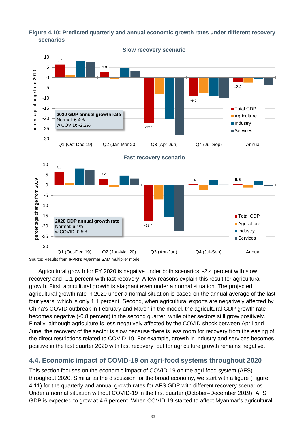<span id="page-36-1"></span>



Agricultural growth for FY 2020 is negative under both scenarios: -2.4 percent with slow recovery and -1.1 percent with fast recovery. A few reasons explain this result for agricultural growth. First, agricultural growth is stagnant even under a normal situation. The projected agricultural growth rate in 2020 under a normal situation is based on the annual average of the last four years, which is only 1.1 percent. Second, when agricultural exports are negatively affected by China's COVID outbreak in February and March in the model, the agricultural GDP growth rate becomes negative (-0.8 percent) in the second quarter, while other sectors still grow positively. Finally, although agriculture is less negatively affected by the COVID shock between April and June, the recovery of the sector is slow because there is less room for recovery from the easing of the direct restrictions related to COVID-19. For example, growth in industry and services becomes positive in the last quarter 2020 with fast recovery, but for agriculture growth remains negative.

### <span id="page-36-0"></span>**4.4. Economic impact of COVID-19 on agri-food systems throughout 2020**

This section focuses on the economic impact of COVID-19 on the agri-food system (AFS) throughout 2020. Similar as the discussion for the broad economy, we start with a figure (Figure 4.11) for the quarterly and annual growth rates for AFS GDP with different recovery scenarios. Under a normal situation without COVID-19 in the first quarter (October–December 2019), AFS GDP is expected to grow at 4.6 percent. When COVID-19 started to affect Myanmar's agricultural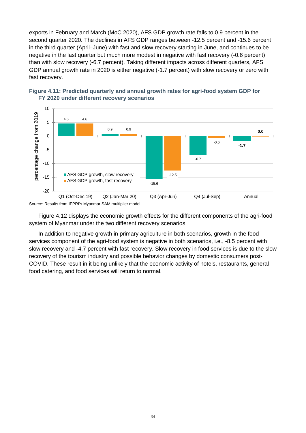exports in February and March (MoC 2020), AFS GDP growth rate falls to 0.9 percent in the second quarter 2020. The declines in AFS GDP ranges between -12.5 percent and -15.6 percent in the third quarter (April–June) with fast and slow recovery starting in June, and continues to be negative in the last quarter but much more modest in negative with fast recovery (-0.6 percent) than with slow recovery (-6.7 percent). Taking different impacts across different quarters, AFS GDP annual growth rate in 2020 is either negative (-1.7 percent) with slow recovery or zero with fast recovery.



#### <span id="page-37-0"></span>**Figure 4.11: Predicted quarterly and annual growth rates for agri-food system GDP for FY 2020 under different recovery scenarios**

Source: Results from IFPRI's Myanmar SAM multiplier model

Figure 4.12 displays the economic growth effects for the different components of the agri-food system of Myanmar under the two different recovery scenarios.

In addition to negative growth in primary agriculture in both scenarios, growth in the food services component of the agri-food system is negative in both scenarios, i.e., -8.5 percent with slow recovery and -4.7 percent with fast recovery. Slow recovery in food services is due to the slow recovery of the tourism industry and possible behavior changes by domestic consumers post-COVID. These result in it being unlikely that the economic activity of hotels, restaurants, general food catering, and food services will return to normal.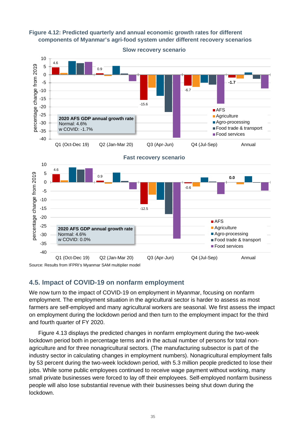<span id="page-38-1"></span>**Figure 4.12: Predicted quarterly and annual economic growth rates for different components of Myanmar's agri-food system under different recovery scenarios**



#### <span id="page-38-0"></span>**4.5. Impact of COVID-19 on nonfarm employment**

We now turn to the impact of COVID-19 on employment in Myanmar, focusing on nonfarm employment. The employment situation in the agricultural sector is harder to assess as most farmers are self-employed and many agricultural workers are seasonal. We first assess the impact on employment during the lockdown period and then turn to the employment impact for the third and fourth quarter of FY 2020.

Figure 4.13 displays the predicted changes in nonfarm employment during the two-week lockdown period both in percentage terms and in the actual number of persons for total nonagriculture and for three nonagricultural sectors. (The manufacturing subsector is part of the industry sector in calculating changes in employment numbers). Nonagricultural employment falls by 53 percent during the two-week lockdown period, with 5.3 million people predicted to lose their jobs. While some public employees continued to receive wage payment without working, many small private businesses were forced to lay off their employees. Self-employed nonfarm business people will also lose substantial revenue with their businesses being shut down during the lockdown.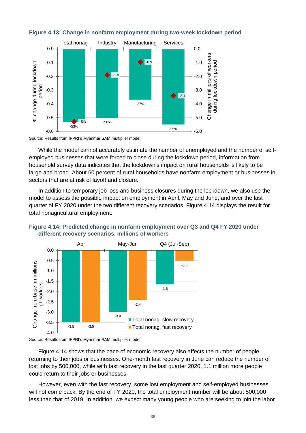

#### <span id="page-39-0"></span>**Figure 4.13: Change in nonfarm employment during two-week lockdown period**

Source: Results from IFPRI's Myanmar SAM multiplier model

While the model cannot accurately estimate the number of unemployed and the number of selfemployed businesses that were forced to close during the lockdown period, information from household survey data indicates that the lockdown's impact on rural households is likely to be large and broad. About 60 percent of rural households have nonfarm employment or businesses in sectors that are at risk of layoff and closure.

In addition to temporary job loss and business closures during the lockdown, we also use the model to assess the possible impact on employment in April, May and June, and over the last quarter of FY 2020 under the two different recovery scenarios. Figure 4.14 displays the result for total nonagricultural employment.



<span id="page-39-1"></span>

Source: Results from IFPRI's Myanmar SAM multiplier model

Figure 4.14 shows that the pace of economic recovery also affects the number of people returning to their jobs or businesses. One-month fast recovery in June can reduce the number of lost jobs by 500,000, while with fast recovery in the last quarter 2020, 1.1 million more people could return to their jobs or businesses.

However, even with the fast recovery, some lost employment and self-employed businesses will not come back. By the end of FY 2020, the total employment number will be about 500,000 less than that of 2019. In addition, we expect many young people who are seeking to join the labor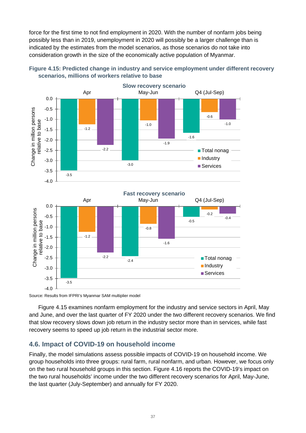force for the first time to not find employment in 2020. With the number of nonfarm jobs being possibly less than in 2019, unemployment in 2020 will possibly be a larger challenge than is indicated by the estimates from the model scenarios, as those scenarios do not take into consideration growth in the size of the economically active population of Myanmar.



<span id="page-40-1"></span>

Figure 4.15 examines nonfarm employment for the industry and service sectors in April, May and June, and over the last quarter of FY 2020 under the two different recovery scenarios. We find that slow recovery slows down job return in the industry sector more than in services, while fast recovery seems to speed up job return in the industrial sector more.

#### <span id="page-40-0"></span>**4.6. Impact of COVID-19 on household income**

Finally, the model simulations assess possible impacts of COVID-19 on household income. We group households into three groups: rural farm, rural nonfarm, and urban. However, we focus only on the two rural household groups in this section. Figure 4.16 reports the COVID-19's impact on the two rural households' income under the two different recovery scenarios for April, May-June, the last quarter (July-September) and annually for FY 2020.

Source: Results from IFPRI's Myanmar SAM multiplier model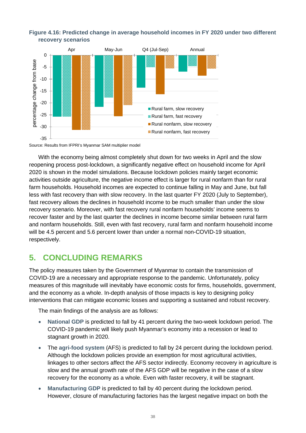

#### <span id="page-41-1"></span>**Figure 4.16: Predicted change in average household incomes in FY 2020 under two different recovery scenarios**

Source: Results from IFPRI's Myanmar SAM multiplier model

With the economy being almost completely shut down for two weeks in April and the slow reopening process post-lockdown, a significantly negative effect on household income for April 2020 is shown in the model simulations. Because lockdown policies mainly target economic activities outside agriculture, the negative income effect is larger for rural nonfarm than for rural farm households. Household incomes are expected to continue falling in May and June, but fall less with fast recovery than with slow recovery. In the last quarter FY 2020 (July to September), fast recovery allows the declines in household income to be much smaller than under the slow recovery scenario. Moreover, with fast recovery rural nonfarm households' income seems to recover faster and by the last quarter the declines in income become similar between rural farm and nonfarm households. Still, even with fast recovery, rural farm and nonfarm household income will be 4.5 percent and 5.6 percent lower than under a normal non-COVID-19 situation, respectively.

## <span id="page-41-0"></span>**5. CONCLUDING REMARKS**

The policy measures taken by the Government of Myanmar to contain the transmission of COVID-19 are a necessary and appropriate response to the pandemic. Unfortunately, policy measures of this magnitude will inevitably have economic costs for firms, households, government, and the economy as a whole. In-depth analysis of those impacts is key to designing policy interventions that can mitigate economic losses and supporting a sustained and robust recovery.

The main findings of the analysis are as follows:

- **National GDP** is predicted to fall by 41 percent during the two-week lockdown period. The COVID-19 pandemic will likely push Myanmar's economy into a recession or lead to stagnant growth in 2020.
- The **agri-food system** (AFS) is predicted to fall by 24 percent during the lockdown period. Although the lockdown policies provide an exemption for most agricultural activities, linkages to other sectors affect the AFS sector indirectly. Economy recovery in agriculture is slow and the annual growth rate of the AFS GDP will be negative in the case of a slow recovery for the economy as a whole. Even with faster recovery, it will be stagnant.
- **Manufacturing GDP** is predicted to fall by 40 percent during the lockdown period. However, closure of manufacturing factories has the largest negative impact on both the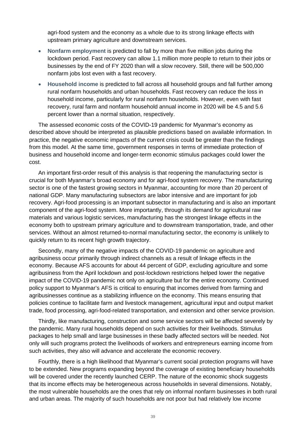agri-food system and the economy as a whole due to its strong linkage effects with upstream primary agriculture and downstream services.

- **Nonfarm employment** is predicted to fall by more than five million jobs during the lockdown period. Fast recovery can allow 1.1 million more people to return to their jobs or businesses by the end of FY 2020 than will a slow recovery. Still, there will be 500,000 nonfarm jobs lost even with a fast recovery.
- **Household income** is predicted to fall across all household groups and fall further among rural nonfarm households and urban households. Fast recovery can reduce the loss in household income, particularly for rural nonfarm households. However, even with fast recovery, rural farm and nonfarm household annual income in 2020 will be 4.5 and 5.6 percent lower than a normal situation, respectively.

The assessed economic costs of the COVID-19 pandemic for Myanmar's economy as described above should be interpreted as plausible predictions based on available information. In practice, the negative economic impacts of the current crisis could be greater than the findings from this model. At the same time, government responses in terms of immediate protection of business and household income and longer-term economic stimulus packages could lower the cost.

An important first-order result of this analysis is that reopening the manufacturing sector is crucial for both Myanmar's broad economy and for agri-food system recovery. The manufacturing sector is one of the fastest growing sectors in Myanmar, accounting for more than 20 percent of national GDP. Many manufacturing subsectors are labor intensive and are important for job recovery. Agri-food processing is an important subsector in manufacturing and is also an important component of the agri-food system. More importantly, through its demand for agricultural raw materials and various logistic services, manufacturing has the strongest linkage effects in the economy both to upstream primary agriculture and to downstream transportation, trade, and other services. Without an almost returned-to-normal manufacturing sector, the economy is unlikely to quickly return to its recent high growth trajectory.

Secondly, many of the negative impacts of the COVID-19 pandemic on agriculture and agribusiness occur primarily through indirect channels as a result of linkage effects in the economy. Because AFS accounts for about 44 percent of GDP, excluding agriculture and some agribusiness from the April lockdown and post-lockdown restrictions helped lower the negative impact of the COVID-19 pandemic not only on agriculture but for the entire economy. Continued policy support to Myanmar's AFS is critical to ensuring that incomes derived from farming and agribusinesses continue as a stabilizing influence on the economy. This means ensuring that policies continue to facilitate farm and livestock management, agricultural input and output market trade, food processing, agri-food-related transportation, and extension and other service provision.

Thirdly, like manufacturing, construction and some service sectors will be affected severely by the pandemic. Many rural households depend on such activities for their livelihoods. Stimulus packages to help small and large businesses in these badly affected sectors will be needed. Not only will such programs protect the livelihoods of workers and entrepreneurs earning income from such activities, they also will advance and accelerate the economic recovery.

Fourthly, there is a high likelihood that Myanmar's current social protection programs will have to be extended. New programs expanding beyond the coverage of existing beneficiary households will be covered under the recently launched CERP. The nature of the economic shock suggests that its income effects may be heterogeneous across households in several dimensions. Notably, the most vulnerable households are the ones that rely on informal nonfarm businesses in both rural and urban areas. The majority of such households are not poor but had relatively low income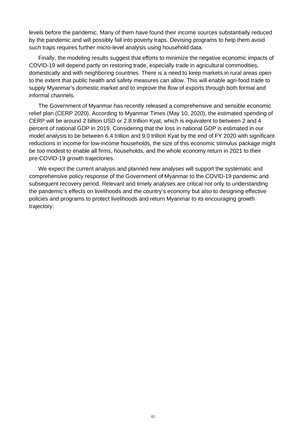levels before the pandemic. Many of them have found their income sources substantially reduced by the pandemic and will possibly fall into poverty traps. Devising programs to help them avoid such traps requires further micro-level analysis using household data.

Finally, the modeling results suggest that efforts to minimize the negative economic impacts of COVID-19 will depend partly on restoring trade, especially trade in agricultural commodities, domestically and with neighboring countries. There is a need to keep markets in rural areas open to the extent that public health and safety measures can allow. This will enable agri-food trade to supply Myanmar's domestic market and to improve the flow of exports through both formal and informal channels.

The Government of Myanmar has recently released a comprehensive and sensible economic relief plan (CERP 2020). According to Myanmar Times (May 10, 2020), the estimated spending of CERP will be around 2 billion USD or 2.8 trillion Kyat, which is equivalent to between 2 and 4 percent of national GDP in 2019. Considering that the loss in national GDP is estimated in our model analysis to be between 6.4 trillion and 9.0 trillion Kyat by the end of FY 2020 with significant reductions in income for low-income households, the size of this economic stimulus package might be too modest to enable all firms, households, and the whole economy return in 2021 to their pre-COVID-19 growth trajectories.

We expect the current analysis and planned new analyses will support the systematic and comprehensive policy response of the Government of Myanmar to the COVID-19 pandemic and subsequent recovery period. Relevant and timely analyses are critical not only to understanding the pandemic's effects on livelihoods and the country's economy but also to designing effective policies and programs to protect livelihoods and return Myanmar to its encouraging growth trajectory.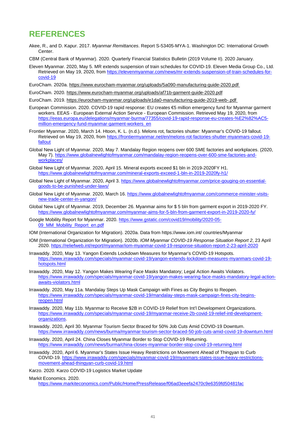## <span id="page-44-0"></span>**REFERENCES**

- Akee, R., and D. Kapur. 2017. *Myanmar Remittances*. Report S-53405-MYA-1. Washington DC: International Growth Center.
- CBM (Central Bank of Myanmar). 2020. Quarterly Financial Statistics Bulletin (2019 Volume II). 2020 January.
- Eleven Myanmar. 2020, May 5. MR extends suspension of train schedules for COVID-19. Eleven Media Group Co., Ltd. Retrieved on May 19, 2020, from [https://elevenmyanmar.com/news/mr-extends-suspension-of-train-schedules-for](https://elevenmyanmar.com/news/mr-extends-suspension-of-train-schedules-for-covid-19)[covid-19](https://elevenmyanmar.com/news/mr-extends-suspension-of-train-schedules-for-covid-19)
- EuroCham. 2020a[. https://www.eurocham-myanmar.org/uploads/5a090-manufacturing-guide-2020.pdf](https://www.eurocham-myanmar.org/uploads/5a090-manufacturing-guide-2020.pdf)
- EuroCham. 2020[. https://www.eurocham-myanmar.org/uploads/af71b-garment-guide-2020.pdf](https://www.eurocham-myanmar.org/uploads/af71b-garment-guide-2020.pdf)
- EuroCham. 2019. <https://eurocham-myanmar.org/uploads/e1da0-manufacturing-guide-2019-web-.pdf>
- European Commission. 2020. COVID-19 rapid response: EU creates €5 million emergency fund for Myanmar garment workers. EEAS - European External Action Service - European Commission. Retrieved May 19, 2020, from [https://eeas.europa.eu/delegations/myanmar-burma/77355/covid-19-rapid-response-eu-creates-%E2%82%AC5](https://eeas.europa.eu/delegations/myanmar-burma/77355/covid-19-rapid-response-eu-creates-%E2%82%AC5-million-emergency-fund-myanmar-garment-workers_en) [million-emergency-fund-myanmar-garment-workers\\_en](https://eeas.europa.eu/delegations/myanmar-burma/77355/covid-19-rapid-response-eu-creates-%E2%82%AC5-million-emergency-fund-myanmar-garment-workers_en)
- Frontier Myanmar. 2020, March 14. Htoon, K. L. (n.d.). Melons rot, factories shutter: Myanmar's COVID-19 fallout. Retrieved on May 19, 2020, from [https://frontiermyanmar.net/en/melons-rot-factories-shutter-myanmars-covid-19](https://frontiermyanmar.net/en/melons-rot-factories-shutter-myanmars-covid-19-fallout) [fallout](https://frontiermyanmar.net/en/melons-rot-factories-shutter-myanmars-covid-19-fallout)
- Global New Light of Myanmar. 2020, May 7. Mandalay Region reopens over 600 SME factories and workplaces. (2020, May 7). [https://www.globalnewlightofmyanmar.com/mandalay-region-reopens-over-600-sme-factories-and](https://www.globalnewlightofmyanmar.com/mandalay-region-reopens-over-600-sme-factories-and-workplaces/)[workplaces/](https://www.globalnewlightofmyanmar.com/mandalay-region-reopens-over-600-sme-factories-and-workplaces/)
- Global New Light of Myanmar. 2020, April 15. Mineral exports exceed \$1 bln in 2019-2020FY H1. <https://www.globalnewlightofmyanmar.com/mineral-exports-exceed-1-bln-in-2019-2020fy-h1/>
- Global New Light of Myanmar. 2020, April 3. [https://www.globalnewlightofmyanmar.com/price-gouging-on-essential](https://www.globalnewlightofmyanmar.com/price-gouging-on-essential-goods-to-be-punished-under-laws/)[goods-to-be-punished-under-laws/](https://www.globalnewlightofmyanmar.com/price-gouging-on-essential-goods-to-be-punished-under-laws/)
- Global New Light of Myanmar. 2020, March 16. [https://www.globalnewlightofmyanmar.com/commerce-minister-visits](https://www.globalnewlightofmyanmar.com/commerce-minister-visits-new-trade-center-in-yangon/)[new-trade-center-in-yangon/](https://www.globalnewlightofmyanmar.com/commerce-minister-visits-new-trade-center-in-yangon/)
- Global New Light of Myanmar. 2019, December 26. Myanmar aims for \$ 5 bln from garment export in 2019-2020 FY. <https://www.globalnewlightofmyanmar.com/myanmar-aims-for-5-bln-from-garment-export-in-2019-2020-fy/>
- Google Mobility Report for Myanmar. 2020. [https://www.gstatic.com/covid19/mobility/2020-05-](https://www.gstatic.com/covid19/mobility/2020-05-09_MM_Mobility_Report_en.pdf) [09\\_MM\\_Mobility\\_Report\\_en.pdf](https://www.gstatic.com/covid19/mobility/2020-05-09_MM_Mobility_Report_en.pdf)
- IOM (International Organization for Migration). 2020a. Data from https://www.iom.int/ countries/Myanmar
- IOM (International Organization for Migration). 2020b. *IOM Myanmar COVID-19 Response Situation Report 2*, 23 April 2020. <https://reliefweb.int/report/myanmar/iom-myanmar-covid-19-response-situation-report-2-23-april-2020>
- Irrawaddy. 2020, May 13. Yangon Extends Lockdown Measures for Myanmar's COVID-19 Hotspots. [https://www.irrawaddy.com/specials/myanmar-covid-19/yangon-extends-lockdown-measures-myanmars-covid-19](https://www.irrawaddy.com/specials/myanmar-covid-19/yangon-extends-lockdown-measures-myanmars-covid-19-hotspots.html) [hotspots.html](https://www.irrawaddy.com/specials/myanmar-covid-19/yangon-extends-lockdown-measures-myanmars-covid-19-hotspots.html)
- Irrawaddy. 2020, May 12. Yangon Makes Wearing Face Masks Mandatory; Legal Action Awaits Violators. [https://www.irrawaddy.com/specials/myanmar-covid-19/yangon-makes-wearing-face-masks-mandatory-legal-action](https://www.irrawaddy.com/specials/myanmar-covid-19/yangon-makes-wearing-face-masks-mandatory-legal-action-awaits-violators.html)[awaits-violators.html](https://www.irrawaddy.com/specials/myanmar-covid-19/yangon-makes-wearing-face-masks-mandatory-legal-action-awaits-violators.html)
- Irrawaddy. 2020, May 11a. Mandalay Steps Up Mask Campaign with Fines as City Begins to Reopen. [https://www.irrawaddy.com/specials/myanmar-covid-19/mandalay-steps-mask-campaign-fines-city-begins](https://www.irrawaddy.com/specials/myanmar-covid-19/mandalay-steps-mask-campaign-fines-city-begins-reopen.html)[reopen.html](https://www.irrawaddy.com/specials/myanmar-covid-19/mandalay-steps-mask-campaign-fines-city-begins-reopen.html)
- Irrawaddy. 2020, May 11b. Myanmar to Receive \$2B in COVID-19 Relief from Int'l Development Organizations. [https://www.irrawaddy.com/specials/myanmar-covid-19/myanmar-receive-2b-covid-19-relief-intl-development](https://www.irrawaddy.com/specials/myanmar-covid-19/myanmar-receive-2b-covid-19-relief-intl-development-organizations)[organizations.](https://www.irrawaddy.com/specials/myanmar-covid-19/myanmar-receive-2b-covid-19-relief-intl-development-organizations)
- Irrawaddy. 2020, April 30. Myanmar Tourism Sector Braced for 50% Job Cuts Amid COVID-19 Downturn. <https://www.irrawaddy.com/news/burma/myanmar-tourism-sector-braced-50-job-cuts-amid-covid-19-downturn.html>
- Irrawaddy. 2020, April 24. China Closes Myanmar Border to Stop COVID-19 Returning. <https://www.irrawaddy.com/news/burma/china-closes-myanmar-border-stop-covid-19-returning.html>
- Irrawaddy. 2020, April 6. Myanmar's States Issue Heavy Restrictions on Movement Ahead of Thingyan to Curb COVID-19. [https://www.irrawaddy.com/specials/myanmar-covid-19/myanmars-states-issue-heavy-restrictions](https://www.irrawaddy.com/specials/myanmar-covid-19/myanmars-states-issue-heavy-restrictions-movement-ahead-thingyan-curb-covid-19.html)[movement-ahead-thingyan-curb-covid-19.html](https://www.irrawaddy.com/specials/myanmar-covid-19/myanmars-states-issue-heavy-restrictions-movement-ahead-thingyan-curb-covid-19.html)
- Karzo. 2020. Karzo COVID-19 Logistics Market Update

Markit Economics. 2020.

<https://www.markiteconomics.com/Public/Home/PressRelease/f06ad3eeefa2470c9e6359fd50481fac>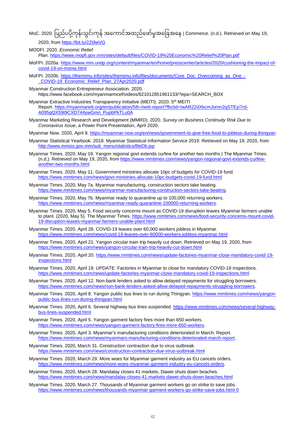MoC. 2020. ပြည်ပပို့ကုန်၊သွင်းကုန် အကောင်အထည်ဖော်မူအခြေအနေ | Commerce. (n.d.). Retrieved on May 19,

2020, from<https://bit.ly/2Zi9wVG>

- MODFI. 2020. *Economic Relief Plan*. <https://www.mopfi.gov.mm/sites/default/files/COVID-19%20Economic%20Relief%20Plan.pdf>
- MoFPI. 2020a. [https://www.mm.undp.org/content/myanmar/en/home/presscenter/articles/2020/cushioning-the-impact-of](https://www.mm.undp.org/content/myanmar/en/home/presscenter/articles/2020/cushioning-the-impact-of-covid-19-on-msme.html)[covid-19-on-msme.html](https://www.mm.undp.org/content/myanmar/en/home/presscenter/articles/2020/cushioning-the-impact-of-covid-19-on-msme.html)
- MoFPI. 2020b. [https://themimu.info/sites/themimu.info/files/documents/Core\\_Doc\\_Overcoming\\_as\\_One\\_-](https://themimu.info/sites/themimu.info/files/documents/Core_Doc_Overcoming_as_One_-_COVID-19_Economic_Relief_Plan_27Apr2020.pdf) [\\_COVID-19\\_Economic\\_Relief\\_Plan\\_27Apr2020.pdf](https://themimu.info/sites/themimu.info/files/documents/Core_Doc_Overcoming_as_One_-_COVID-19_Economic_Relief_Plan_27Apr2020.pdf)
- Myanmar Construction Entrepreneur Association. 2020. https://www.facebook.com/myanmarmcef/videos/621012851961133/?epa=SEARCH\_BOX
- Myanmar Extractive Industries Transparency Initiative (MEITI). 2020. 5<sup>th</sup> MEITI Report. [https://myanmareiti.org/en/publication/5th-meiti-report?fbclid=IwAR22dXkcmJornn2qSTEyi7rd-](https://myanmareiti.org/en/publication/5th-meiti-report?fbclid=IwAR22dXkcmJornn2qSTEyi7rd-A095gQX59t9CXD744ywGmn_PupbPkTLu0A)[A095gQX59t9CXD744ywGmn\\_PupbPkTLu0A](https://myanmareiti.org/en/publication/5th-meiti-report?fbclid=IwAR22dXkcmJornn2qSTEyi7rd-A095gQX59t9CXD744ywGmn_PupbPkTLu0A)
- Myanmar Marketing Research and Development (MMRD). 2020. *Survey on Business Continuity Risk Due to Coronavirus Issue*, a Power Point Presentation, April 2020.
- Myanmar Now. 2020, April 8.<https://myanmar-now.org/en/news/government-to-give-free-food-to-jobless-during-thingyan>
- Myanmar Statistical Yearbook. 2018. Myanmar Statistical Information Service 2019: Retrieved on May 19, 2020, from [http://www.mmsis.gov.mm/sub\\_menu/statistics/fileDb.jsp](http://www.mmsis.gov.mm/sub_menu/statistics/fileDb.jsp)
- Myanmar Times. 2020, May 19. Yangon regional govt extends curfew for another two months | The Myanmar Times. (n.d.). Retrieved on May 19, 2020, from [https://www.mmtimes.com/news/yangon-regional-govt-extends-curfew](https://www.mmtimes.com/news/yangon-regional-govt-extends-curfew-another-two-months.html)[another-two-months.html](https://www.mmtimes.com/news/yangon-regional-govt-extends-curfew-another-two-months.html)
- Myanmar Times. 2020, May 11. Government ministries allocate 10pc of budgets for COVID-19 fund. <https://www.mmtimes.com/news/govt-ministries-allocate-10pc-budgets-covid-19-fund.html>
- Myanmar Times. 2020, May 7a. Myanmar manufacturing, construction sectors take beating. [https://www.mmtimes.com/news/myanmar-manufacturing-construction-sectors-take-beating.](https://www.mmtimes.com/news/myanmar-manufacturing-construction-sectors-take-beating)
- Myanmar Times. 2020, May 7b. Myanmar ready to quarantine up to 100,000 returning workers. [https://www.mmtimes.com/news/myanmar-ready-quarantine-100000-returning-workers.](https://www.mmtimes.com/news/myanmar-ready-quarantine-100000-returning-workers)
- Myanmar Times. 2020, May 5. Food security concerns mount as COVID-19 disruption leaves Myanmar farmers unable to plant. (2020, May 5). The Myanmar Times. [https://www.mmtimes.com/news/food-security-concerns-mount-covid-](https://www.mmtimes.com/news/food-security-concerns-mount-covid-19-disruption-leaves-myanmar-farmers-unable-plant.html)[19-disruption-leaves-myanmar-farmers-unable-plant.html](https://www.mmtimes.com/news/food-security-concerns-mount-covid-19-disruption-leaves-myanmar-farmers-unable-plant.html)
- Myanmar Times. 2020, April 28. COVID-19 leaves over 60,000 workers jobless in Myanmar. <https://www.mmtimes.com/news/covid-19-leaves-over-60000-workers-jobless-myanmar.html>
- Myanmar Times. 2020, April 21. Yangon circular train trip heavily cut down. Retrieved on May 19, 2020, from <https://www.mmtimes.com/news/yangon-circular-train-trip-heavily-cut-down.html>
- Myanmar Times. 2020, April 20[. https://www.mmtimes.com/news/update-factories-myanmar-close-mandatory-covid-19](https://www.mmtimes.com/news/update-factories-myanmar-close-mandatory-covid-19-inspections.html) [inspections.html](https://www.mmtimes.com/news/update-factories-myanmar-close-mandatory-covid-19-inspections.html)
- Myanmar Times. 2020, April 19. UPDATE: Factories in Myanmar to close for mandatory COVID-19 inspections. <https://www.mmtimes.com/news/update-factories-myanmar-close-mandatory-covid-19-inspections.html>
- Myanmar Times. 2020, April 12. Non-bank lenders asked to allow delayed repayments for struggling borrowers. [https://www.mmtimes.com/news/non-bank-lenders-asked-allow-delayed-repayments-struggling-borrowers.](https://www.mmtimes.com/news/non-bank-lenders-asked-allow-delayed-repayments-struggling-borrowers)
- Myanmar Times. 2020, April 8. Yangon public bus lines to run during Thingyan. [https://www.mmtimes.com/news/yangon](https://www.mmtimes.com/news/yangon-public-bus-lines-run-during-thingyan.html)[public-bus-lines-run-during-thingyan.html](https://www.mmtimes.com/news/yangon-public-bus-lines-run-during-thingyan.html)
- Myanmar Times. 2020, April 6. Several highway bus lines suspended. [https://www.mmtimes.com/news/several-highway](https://www.mmtimes.com/news/several-highway-bus-lines-suspended.html)[bus-lines-suspended.html](https://www.mmtimes.com/news/several-highway-bus-lines-suspended.html)
- Myanmar Times. 2020, April 5. Yangon garment factory fires more than 650 workers. [https://www.mmtimes.com/news/yangon-garment-factory-fires-more-650-workers.](https://www.mmtimes.com/news/yangon-garment-factory-fires-more-650-workers)
- Myanmar Times. 2020, April 3. Myanmar's manufacturing conditions deteriorated in March: Report. [https://www.mmtimes.com/news/myanmars-manufacturing-conditions-deteriorated-march-report.](https://www.mmtimes.com/news/myanmars-manufacturing-conditions-deteriorated-march-report)
- Myanmar Times. 2020, March 31. Construction contraction due to virus outbreak. <https://www.mmtimes.com/news/construction-contraction-due-virus-outbreak.html>
- Myanmar Times. 2020, March 29. More woes for Myanmar garment industry as EU cancels orders. [https://www.mmtimes.com/news/more-woes-myanmar-garment-industry-eu-cancels-orders.](https://www.mmtimes.com/news/more-woes-myanmar-garment-industry-eu-cancels-orders)
- Myanmar Times. 2020, March 28. Mandalay closes 41 markets, Dawei shuts down beaches. <https://www.mmtimes.com/news/mandalay-closes-41-markets-dawei-shuts-down-beaches.html>
- Myanmar Times. 2020, March 27. Thousands of Myanmar garment workers go on strike to save jobs. <https://www.mmtimes.com/news/thousands-myanmar-garment-workers-go-strike-save-jobs.html-0>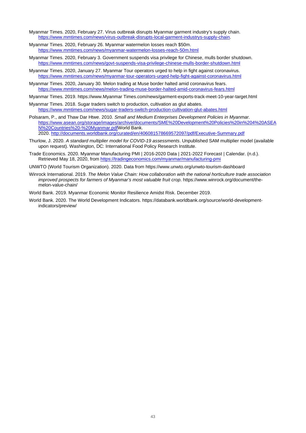- Myanmar Times. 2020, February 27. Virus outbreak disrupts Myanmar garment industry's supply chain. [https://www.mmtimes.com/news/virus-outbreak-disrupts-local-garment-industrys-supply-chain.](https://www.mmtimes.com/news/virus-outbreak-disrupts-local-garment-industrys-supply-chain)
- Myanmar Times. 2020, February 26. Myanmar watermelon losses reach \$50m. <https://www.mmtimes.com/news/myanmar-watermelon-losses-reach-50m.html>
- Myanmar Times. 2020, February 3. Government suspends visa privilege for Chinese, mulls border shutdown. <https://www.mmtimes.com/news/govt-suspends-visa-privilege-chinese-mulls-border-shutdown.html>
- Myanmar Times. 2020, January 27. Myanmar Tour operators urged to help in fight against coronavirus. <https://www.mmtimes.com/news/myanmar-tour-operators-urged-help-fight-against-coronavirus.html>
- Myanmar Times. 2020, January 30. Melon trading at Muse border halted amid coronavirus fears. <https://www.mmtimes.com/news/melon-trading-muse-border-halted-amid-coronavirus-fears.html>
- Myanmar Times. 2019. https://www.Myanmar Times.com/news/garment-exports-track-meet-10-year-target.html
- Myanmar Times. 2018. Sugar traders switch to production, cultivation as glut abates. <https://www.mmtimes.com/news/sugar-traders-switch-production-cultivation-glut-abates.html>
- Polsaram, P., and Thaw Dar Htwe. 2010. *Small and Medium Enterprises Development Policies in Myanmar.* [https://www.asean.org/storage/images/archive/documents/SME%20Development%20Policies%20in%204%20ASEA](https://www.asean.org/storage/images/archive/documents/SME%20Development%20Policies%20in%204%20ASEAN%20Countries%20-%20Myanmar.pdf) [N%20Countries%20-%20Myanmar.pdfW](https://www.asean.org/storage/images/archive/documents/SME%20Development%20Policies%20in%204%20ASEAN%20Countries%20-%20Myanmar.pdf)orld Bank. 2020. <http://documents.worldbank.org/curated/en/406081578669572097/pdf/Executive-Summary.pdf>
- Thurlow, J. 2020. *A standard multiplier model for COVID-19 assessments*. Unpublished SAM multiplier model (available upon request). Washington, DC: International Food Policy Research Institute.
- Trade Economics. 2020. Myanmar Manufacturing PMI | 2016-2020 Data | 2021-2022 Forecast | Calendar. (n.d.). Retrieved May 18, 2020, fro[m https://tradingeconomics.com/myanmar/manufacturing-pmi](https://tradingeconomics.com/myanmar/manufacturing-pmi)
- UNWTO (World Tourism Organization). 2020. Data from https://www.unwto.org/unwto-tourism-dashboard
- Winrock International. 2019. *The Melon Value Chain: How collaboration with the national horticulture trade association improved prospects for farmers of Myanmar's most valuable fruit crop*. https://www.winrock.org/document/themelon-value-chain/
- World Bank. 2019. Myanmar Economic Monitor Resilience Amidst Risk. December 2019.
- World Bank. 2020. The World Development Indicators. https://databank.worldbank.org/source/world-developmentindicators/preview/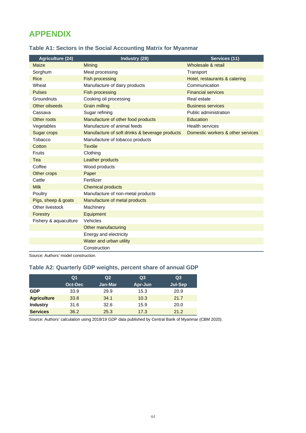## <span id="page-47-0"></span>**APPENDIX**

| <b>Agriculture (24)</b> | Industry (28)                                  | Services (11)                     |
|-------------------------|------------------------------------------------|-----------------------------------|
| Maize                   | Mining                                         | Wholesale & retail                |
| Sorghum                 | Meat processing                                | Transport                         |
| <b>Rice</b>             | <b>Fish processing</b>                         | Hotel, restaurants & catering     |
| Wheat                   | Manufacture of dairy products                  | Communication                     |
| <b>Pulses</b>           | <b>Fish processing</b>                         | <b>Financial services</b>         |
| Groundnuts              | Cooking oil processing                         | Real estate                       |
| Other oilseeds          | <b>Grain milling</b>                           | <b>Business services</b>          |
| Cassava                 | Sugar refining                                 | Public administration             |
| Other roots             | Manufacture of other food products             | Education                         |
| Vegetables              | Manufacture of animal feeds                    | <b>Health services</b>            |
| <b>Sugar crops</b>      | Manufacture of soft drinks & beverage products | Domestic workers & other services |
| Tobacco                 | Manufacture of tobacco products                |                                   |
| Cotton                  | <b>Textile</b>                                 |                                   |
| Fruits                  | Clothing                                       |                                   |
| Tea                     | Leather products                               |                                   |
| Coffee                  | Wood products                                  |                                   |
| Other crops             | Paper                                          |                                   |
| Cattle                  | Fertilizer                                     |                                   |
| <b>Milk</b>             | <b>Chemical products</b>                       |                                   |
| Poultry                 | Manufacture of non-metal products              |                                   |
| Pigs, sheep & goats     | Manufacture of metal products                  |                                   |
| Other livestock         | Machinery                                      |                                   |
| Forestry                | Equipment                                      |                                   |
| Fishery & aquaculture   | Vehicles                                       |                                   |
|                         | Other manufacturing                            |                                   |
|                         | Energy and electricity                         |                                   |
|                         | Water and urban utility                        |                                   |
|                         | Construction                                   |                                   |

#### <span id="page-47-1"></span>**Table A1: Sectors in the Social Accounting Matrix for Myanmar**

Source: Authors' model construction.

#### <span id="page-47-2"></span>**Table A2: Quarterly GDP weights, percent share of annual GDP**

|                    | Q <sub>1</sub> | Q <sub>2</sub> | Q <sub>3</sub> | Q <sub>3</sub> |
|--------------------|----------------|----------------|----------------|----------------|
|                    | Oct-Dec        | <b>Jan-Mar</b> | Apr-Jun        | Jul-Sep        |
| <b>GDP</b>         | 33.9           | 29.9           | 15.3           | 20.9           |
| <b>Agriculture</b> | 33.8           | 34.1           | 10.3           | 21.7           |
| <b>Industry</b>    | 31.6           | 32.6           | 15.9           | 20.0           |
| <b>Services</b>    | 36.2           | 25.3           | 17.3           | 21.2           |

Source: Authors' calculation using 2018/19 GDP data published by Central Bank of Myanmar (CBM 2020).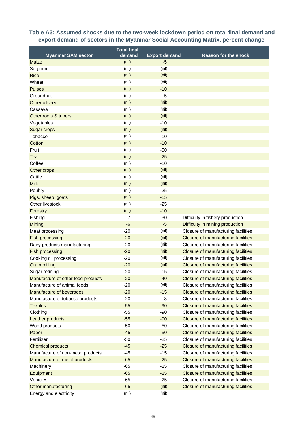#### <span id="page-48-0"></span>**Table A3: Assumed shocks due to the two-week lockdown period on total final demand and export demand of sectors in the Myanmar Social Accounting Matrix, percent change**

|                                           | <b>Total final</b> |                              |                                            |
|-------------------------------------------|--------------------|------------------------------|--------------------------------------------|
| <b>Myanmar SAM sector</b><br><b>Maize</b> | demand<br>(nil)    | <b>Export demand</b><br>$-5$ | <b>Reason for the shock</b>                |
| Sorghum                                   | (nil)              | (nil)                        |                                            |
| <b>Rice</b>                               | (nil)              | (nil)                        |                                            |
| Wheat                                     | (nil)              | (nil)                        |                                            |
| <b>Pulses</b>                             | (nil)              | $-10$                        |                                            |
| Groundnut                                 | (nil)              | $-5$                         |                                            |
| Other oilseed                             | (nil)              | (nil)                        |                                            |
| Cassava                                   | (nil)              | (nil)                        |                                            |
| Other roots & tubers                      | (nil)              | (nil)                        |                                            |
| Vegetables                                | (nil)              | $-10$                        |                                            |
| <b>Sugar crops</b>                        | (nil)              | (nil)                        |                                            |
| Tobacco                                   | (nil)              | $-10$                        |                                            |
| Cotton                                    | (nil)              | $-10$                        |                                            |
| Fruit                                     | (nil)              | $-50$                        |                                            |
| Tea                                       | (nil)              | $-25$                        |                                            |
| Coffee                                    | (nil)              | $-10$                        |                                            |
| Other crops                               | (nil)              | (nil)                        |                                            |
| Cattle                                    | (nil)              | (nil)                        |                                            |
| <b>Milk</b>                               | (nil)              | (nil)                        |                                            |
| Poultry                                   | (nil)              | $-25$                        |                                            |
| Pigs, sheep, goats                        | (nil)              | $-15$                        |                                            |
| Other livestock                           | (nil)              | $-25$                        |                                            |
| Forestry                                  | (nil)              | $-10$                        |                                            |
| Fishing                                   | $-7$               | $-30$                        | Difficulty in fishery production           |
| Mining                                    | $-6$               | $-5$                         | Difficulty in mining production            |
| Meat processing                           | $-20$              | (nil)                        | Closure of manufacturing facilities        |
| <b>Fish processing</b>                    | $-20$              | (nil)                        | Closure of manufacturing facilities        |
| Dairy products manufacturing              | $-20$              | (nil)                        | Closure of manufacturing facilities        |
| <b>Fish processing</b>                    | $-20$              | (nil)                        | Closure of manufacturing facilities        |
| Cooking oil processing                    | $-20$              | (nil)                        | Closure of manufacturing facilities        |
| <b>Grain milling</b>                      | $-20$              | (nil)                        | Closure of manufacturing facilities        |
| Sugar refining                            | $-20$              | $-15$                        | Closure of manufacturing facilities        |
| Manufacture of other food products        | $-20$              | $-40$                        | Closure of manufacturing facilities        |
| Manufacture of animal feeds               | $-20$              | (nil)                        | Closure of manufacturing facilities        |
| Manufacture of beverages                  | $-20$              | $-15$                        | Closure of manufacturing facilities        |
| Manufacture of tobacco products           | $-20$              | -8                           | Closure of manufacturing facilities        |
| <b>Textiles</b>                           | $-55$              | $-90$                        | <b>Closure of manufacturing facilities</b> |
| Clothing                                  | $-55$              | $-90$                        | Closure of manufacturing facilities        |
| Leather products                          | $-55$              | $-90$                        | Closure of manufacturing facilities        |
| Wood products                             | $-50$              | $-50$                        | Closure of manufacturing facilities        |
| Paper                                     | $-45$              | $-50$                        | Closure of manufacturing facilities        |
| Fertilizer                                | $-50$              | $-25$                        | Closure of manufacturing facilities        |
| <b>Chemical products</b>                  | $-45$              | $-25$                        | <b>Closure of manufacturing facilities</b> |
| Manufacture of non-metal products         | $-45$              | $-15$                        | Closure of manufacturing facilities        |
| Manufacture of metal products             | $-65$              | $-25$                        | <b>Closure of manufacturing facilities</b> |
| Machinery                                 | $-65$              | $-25$                        | Closure of manufacturing facilities        |
| Equipment                                 | $-65$              | $-25$                        | Closure of manufacturing facilities        |
| Vehicles                                  | $-65$              | $-25$                        | Closure of manufacturing facilities        |
| Other manufacturing                       | $-65$              | (nil)                        | Closure of manufacturing facilities        |
| Energy and electricity                    | (nil)              | (nil)                        |                                            |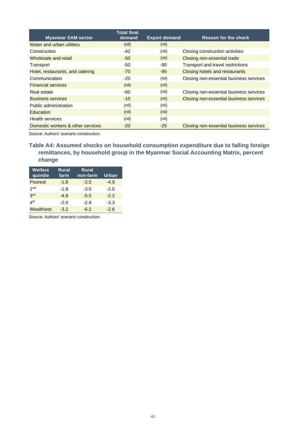| <b>Myanmar SAM sector</b>         | <b>Total final</b><br>demand | <b>Export demand</b> | Reason for the shock                    |
|-----------------------------------|------------------------------|----------------------|-----------------------------------------|
| Water and urban utilities         | (nil)                        | (nil)                |                                         |
| Construction                      | $-42$                        | (nil)                | Closing construction activities         |
| Wholesale and retail              | $-50$                        | (nil)                | Closing non-essential trade             |
| Transport                         | -50                          | -90                  | Transport and travel restrictions       |
| Hotel, restaurants, and catering  | $-70$                        | $-95$                | Closing hotels and restaurants          |
| Communication                     | $-20$                        | (nil)                | Closing non-essential business services |
| <b>Financial services</b>         | (nil)                        | (nil)                |                                         |
| Real estate                       | -60                          | (nil)                | Closing non-essential business services |
| <b>Business services</b>          | $-10$                        | (nil)                | Closing non-essential business services |
| Public administration             | (nil)                        | (nil)                |                                         |
| Education                         | (nil)                        | (nil)                |                                         |
| Health services                   | (nil)                        | (nil)                |                                         |
| Domestic workers & other services | $-20$                        | $-25$                | Closing non-essential business services |

Source: Authors' scenario construction.

<span id="page-49-0"></span>**Table A4: Assumed shocks on household consumption expenditure due to falling foreign remittances, by household group in the Myanmar Social Accounting Matrix, percent change**

| <b>Welfare</b><br>quintile     | <b>Rural</b><br>farm | <b>Rural</b><br>non-farm | Urban  |
|--------------------------------|----------------------|--------------------------|--------|
| Poorest                        | $-1.8$               | $-2.5$                   | $-4.9$ |
| 2 <sub>nd</sub>                | $-1.8$               | $-3.0$                   | $-2.5$ |
| 3rd                            | $-4.8$               | $-5.5$                   | $-2.2$ |
| $\mathbf{\Lambda}^{\text{th}}$ | $-2.0$               | $-2.9$                   | $-3.3$ |
| Wealthiest                     | $-3.2$               | $-6.2$                   | $-2.6$ |

Source: Authors' scenario construction.